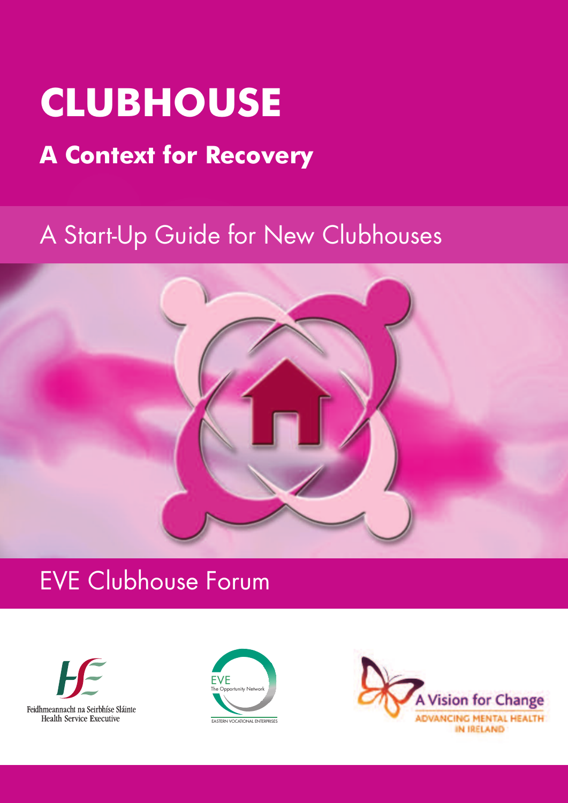# **CLUBHOUSE**

## **A Context for Recovery**

## A Start-Up Guide for New Clubhouses







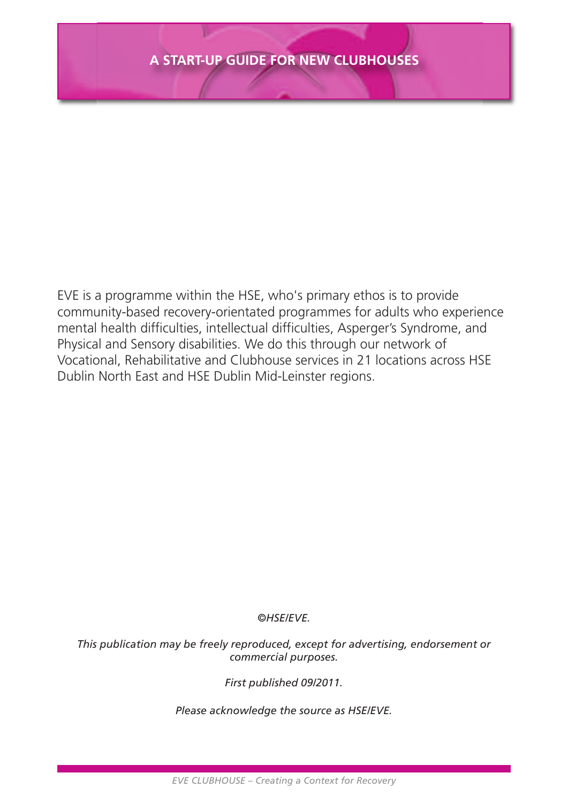EVE is a programme within the HSE, who's primary ethos is to provide community-based recovery-orientated programmes for adults who experience mental health difficulties, intellectual difficulties, Asperger's Syndrome, and Physical and Sensory disabilities. We do this through our network of Vocational, Rehabilitative and Clubhouse services in 21 locations across HSE Dublin North East and HSE Dublin Mid-Leinster regions.

#### *©HSE/EVE.*

*This publication may be freely reproduced, except for advertising, endorsement or commercial purposes.*

*First published 09/2011.*

*Please acknowledge the source as HSE/EVE.*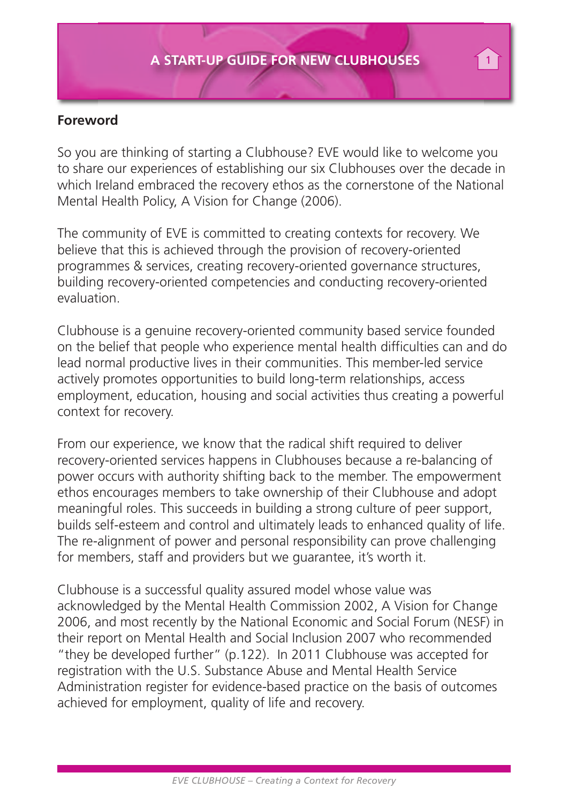#### **Foreword**

So you are thinking of starting a Clubhouse? EVE would like to welcome you to share our experiences of establishing our six Clubhouses over the decade in which Ireland embraced the recovery ethos as the cornerstone of the National Mental Health Policy, A Vision for Change (2006).

The community of EVE is committed to creating contexts for recovery. We believe that this is achieved through the provision of recovery-oriented programmes & services, creating recovery-oriented governance structures, building recovery-oriented competencies and conducting recovery-oriented evaluation.

Clubhouse is a genuine recovery-oriented community based service founded on the belief that people who experience mental health difficulties can and do lead normal productive lives in their communities. This member-led service actively promotes opportunities to build long-term relationships, access employment, education, housing and social activities thus creating a powerful context for recovery.

From our experience, we know that the radical shift required to deliver recovery-oriented services happens in Clubhouses because a re-balancing of power occurs with authority shifting back to the member. The empowerment ethos encourages members to take ownership of their Clubhouse and adopt meaningful roles. This succeeds in building a strong culture of peer support, builds self-esteem and control and ultimately leads to enhanced quality of life. The re-alignment of power and personal responsibility can prove challenging for members, staff and providers but we guarantee, it's worth it.

Clubhouse is a successful quality assured model whose value was acknowledged by the Mental Health Commission 2002, A Vision for Change 2006, and most recently by the National Economic and Social Forum (NESF) in their report on Mental Health and Social Inclusion 2007 who recommended "they be developed further" (p.122). In 2011 Clubhouse was accepted for registration with the U.S. Substance Abuse and Mental Health Service Administration register for evidence-based practice on the basis of outcomes achieved for employment, quality of life and recovery.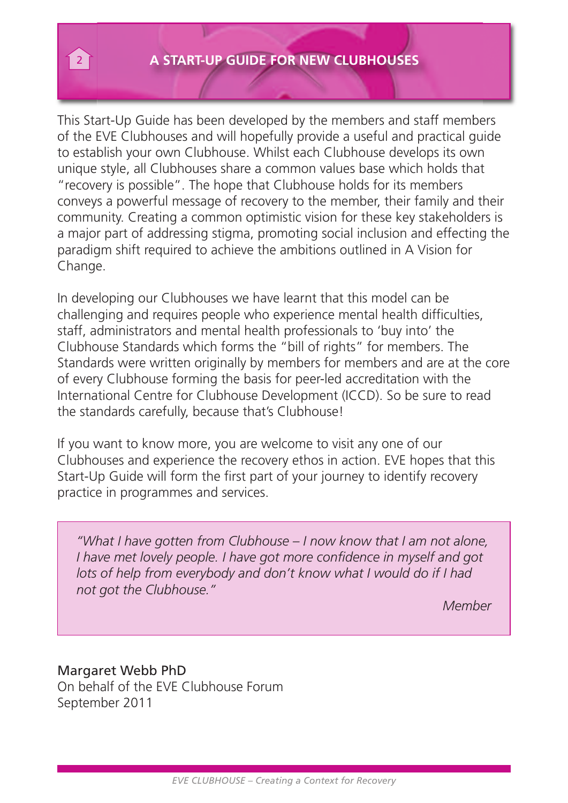This Start-Up Guide has been developed by the members and staff members of the EVE Clubhouses and will hopefully provide a useful and practical guide to establish your own Clubhouse. Whilst each Clubhouse develops its own unique style, all Clubhouses share a common values base which holds that "recovery is possible". The hope that Clubhouse holds for its members conveys a powerful message of recovery to the member, their family and their community. Creating a common optimistic vision for these key stakeholders is a major part of addressing stigma, promoting social inclusion and effecting the paradigm shift required to achieve the ambitions outlined in A Vision for Change.

In developing our Clubhouses we have learnt that this model can be challenging and requires people who experience mental health difficulties, staff, administrators and mental health professionals to 'buy into' the Clubhouse Standards which forms the "bill of rights" for members. The Standards were written originally by members for members and are at the core of every Clubhouse forming the basis for peer-led accreditation with the International Centre for Clubhouse Development (ICCD). So be sure to read the standards carefully, because that's Clubhouse!

If you want to know more, you are welcome to visit any one of our Clubhouses and experience the recovery ethos in action. EVE hopes that this Start-Up Guide will form the first part of your journey to identify recovery practice in programmes and services.

*"What I have gotten from Clubhouse – I now know that I am not alone, I have met lovely people. I have got more confidence in myself and got lots of help from everybody and don't know what I would do if I had not got the Clubhouse."*

*Member*

#### Margaret Webb PhD On behalf of the EVE Clubhouse Forum September 2011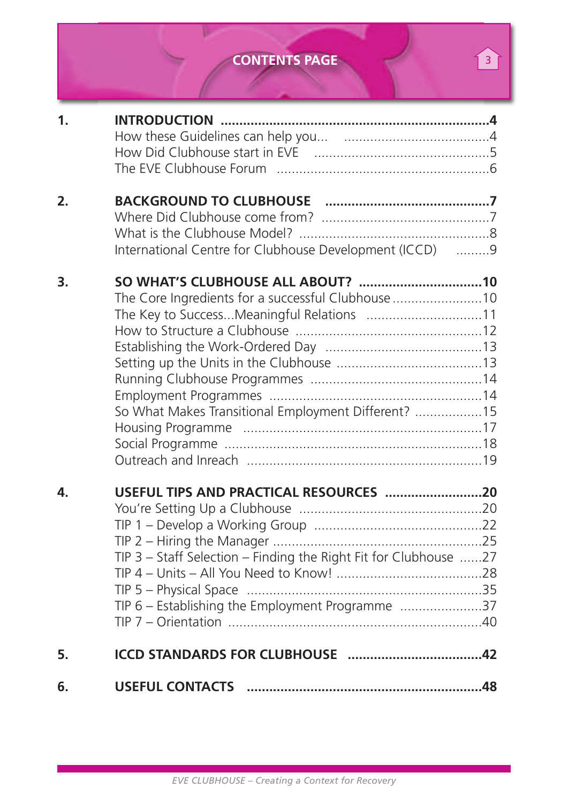### **CONTENTS PAGE**

| 6. |                                                                                                                      |  |
|----|----------------------------------------------------------------------------------------------------------------------|--|
| 5. |                                                                                                                      |  |
| 4. | TIP 3 - Staff Selection - Finding the Right Fit for Clubhouse 27<br>TIP 6 - Establishing the Employment Programme 37 |  |
| 3. | The Core Ingredients for a successful Clubhouse 10<br>So What Makes Transitional Employment Different? 15            |  |
| 2. | International Centre for Clubhouse Development (ICCD) 9                                                              |  |
| 1. |                                                                                                                      |  |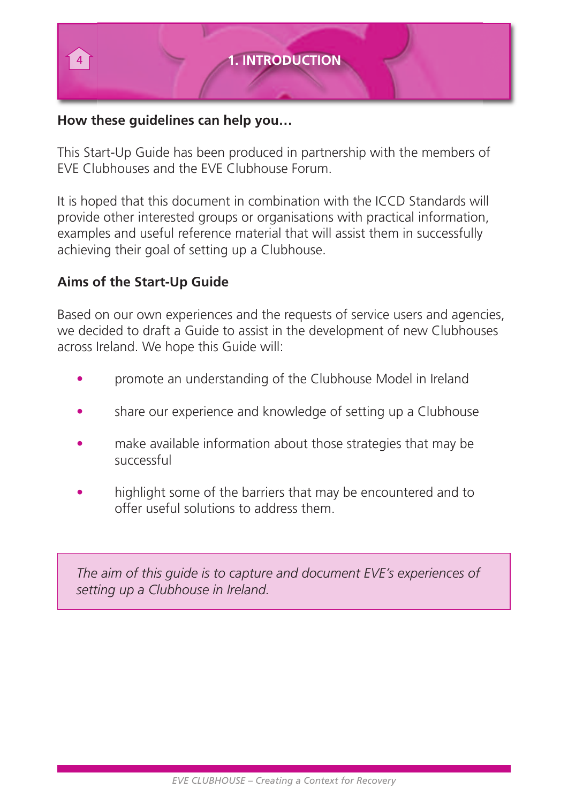

#### **How these guidelines can help you…**

This Start-Up Guide has been produced in partnership with the members of EVE Clubhouses and the EVE Clubhouse Forum.

It is hoped that this document in combination with the ICCD Standards will provide other interested groups or organisations with practical information, examples and useful reference material that will assist them in successfully achieving their goal of setting up a Clubhouse.

#### **Aims of the Start-Up Guide**

Based on our own experiences and the requests of service users and agencies, we decided to draft a Guide to assist in the development of new Clubhouses across Ireland. We hope this Guide will:

- promote an understanding of the Clubhouse Model in Ireland
- share our experience and knowledge of setting up a Clubhouse
- make available information about those strategies that may be successful
- highlight some of the barriers that may be encountered and to offer useful solutions to address them.

*The aim of this guide is to capture and document EVE's experiences of setting up a Clubhouse in Ireland.*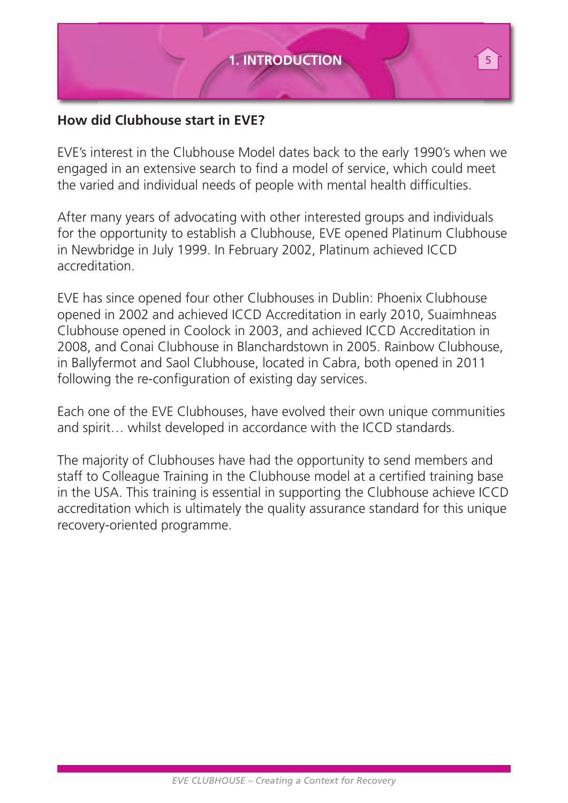

#### **How did Clubhouse start in EVE?**

EVE's interest in the Clubhouse Model dates back to the early 1990's when we engaged in an extensive search to find a model of service, which could meet the varied and individual needs of people with mental health difficulties.

After many years of advocating with other interested groups and individuals for the opportunity to establish a Clubhouse, EVE opened Platinum Clubhouse in Newbridge in July 1999. In February 2002, Platinum achieved ICCD accreditation.

EVE has since opened four other Clubhouses in Dublin: Phoenix Clubhouse opened in 2002 and achieved ICCD Accreditation in early 2010, Suaimhneas Clubhouse opened in Coolock in 2003, and achieved ICCD Accreditation in 2008, and Conai Clubhouse in Blanchardstown in 2005. Rainbow Clubhouse, in Ballyfermot and Saol Clubhouse, located in Cabra, both opened in 2011 following the re-configuration of existing day services.

Each one of the EVE Clubhouses, have evolved their own unique communities and spirit… whilst developed in accordance with the ICCD standards.

The majority of Clubhouses have had the opportunity to send members and staff to Colleague Training in the Clubhouse model at a certified training base in the USA. This training is essential in supporting the Clubhouse achieve ICCD accreditation which is ultimately the quality assurance standard for this unique recovery-oriented programme.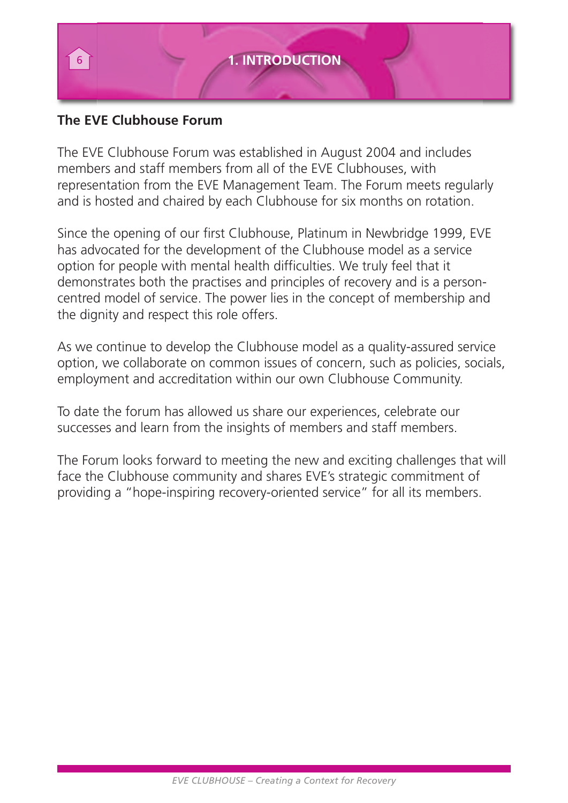

#### **The EVE Clubhouse Forum**

The EVE Clubhouse Forum was established in August 2004 and includes members and staff members from all of the EVE Clubhouses, with representation from the EVE Management Team. The Forum meets regularly and is hosted and chaired by each Clubhouse for six months on rotation.

Since the opening of our first Clubhouse, Platinum in Newbridge 1999, EVE has advocated for the development of the Clubhouse model as a service option for people with mental health difficulties. We truly feel that it demonstrates both the practises and principles of recovery and is a personcentred model of service. The power lies in the concept of membership and the dignity and respect this role offers.

As we continue to develop the Clubhouse model as a quality-assured service option, we collaborate on common issues of concern, such as policies, socials, employment and accreditation within our own Clubhouse Community.

To date the forum has allowed us share our experiences, celebrate our successes and learn from the insights of members and staff members.

The Forum looks forward to meeting the new and exciting challenges that will face the Clubhouse community and shares EVE's strategic commitment of providing a "hope-inspiring recovery-oriented service" for all its members.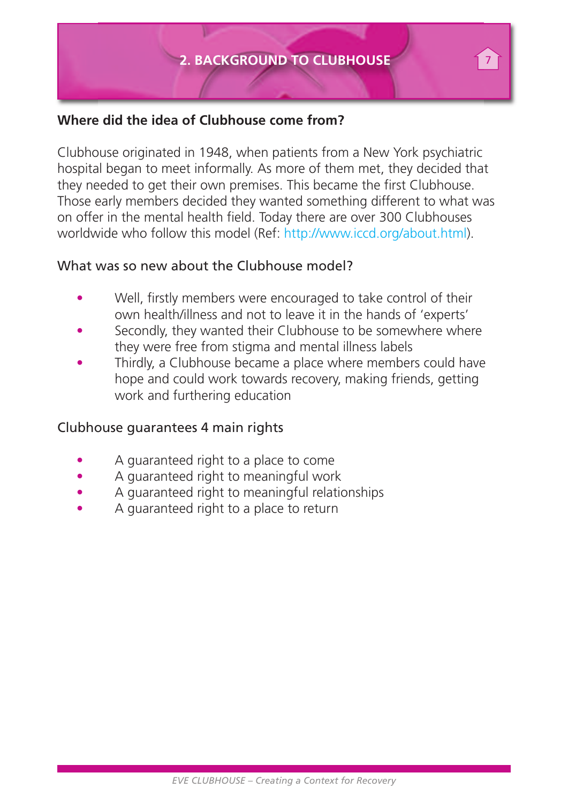#### **Where did the idea of Clubhouse come from?**

Clubhouse originated in 1948, when patients from a New York psychiatric hospital began to meet informally. As more of them met, they decided that they needed to get their own premises. This became the first Clubhouse. Those early members decided they wanted something different to what was on offer in the mental health field. Today there are over 300 Clubhouses worldwide who follow this model (Ref: http://www.iccd.org/about.html).

#### What was so new about the Clubhouse model?

- Well, firstly members were encouraged to take control of their own health/illness and not to leave it in the hands of 'experts'
- Secondly, they wanted their Clubhouse to be somewhere where they were free from stigma and mental illness labels
- Thirdly, a Clubhouse became a place where members could have hope and could work towards recovery, making friends, getting work and furthering education

#### Clubhouse guarantees 4 main rights

- A guaranteed right to a place to come
- A guaranteed right to meaningful work
- A guaranteed right to meaningful relationships
- A guaranteed right to a place to return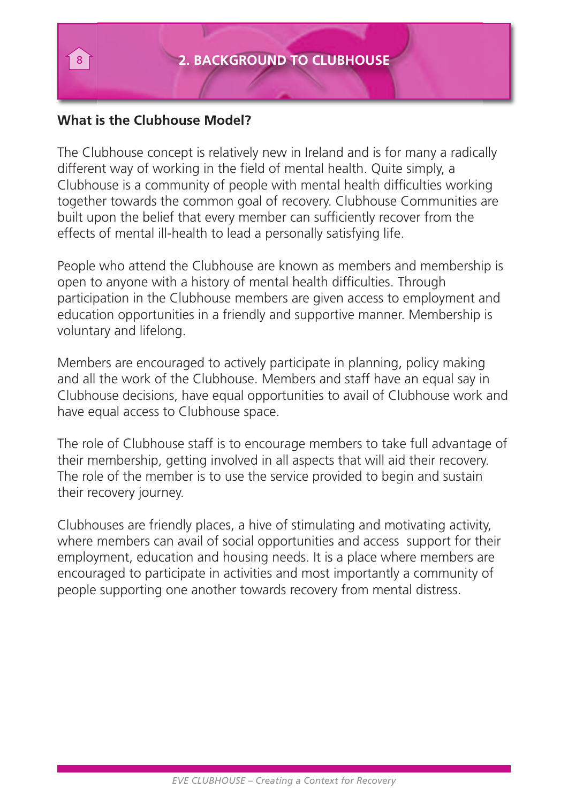#### **What is the Clubhouse Model?**

The Clubhouse concept is relatively new in Ireland and is for many a radically different way of working in the field of mental health. Quite simply, a Clubhouse is a community of people with mental health difficulties working together towards the common goal of recovery. Clubhouse Communities are built upon the belief that every member can sufficiently recover from the effects of mental ill-health to lead a personally satisfying life.

People who attend the Clubhouse are known as members and membership is open to anyone with a history of mental health difficulties. Through participation in the Clubhouse members are given access to employment and education opportunities in a friendly and supportive manner. Membership is voluntary and lifelong.

Members are encouraged to actively participate in planning, policy making and all the work of the Clubhouse. Members and staff have an equal say in Clubhouse decisions, have equal opportunities to avail of Clubhouse work and have equal access to Clubhouse space.

The role of Clubhouse staff is to encourage members to take full advantage of their membership, getting involved in all aspects that will aid their recovery. The role of the member is to use the service provided to begin and sustain their recovery journey.

Clubhouses are friendly places, a hive of stimulating and motivating activity, where members can avail of social opportunities and access support for their employment, education and housing needs. It is a place where members are encouraged to participate in activities and most importantly a community of people supporting one another towards recovery from mental distress.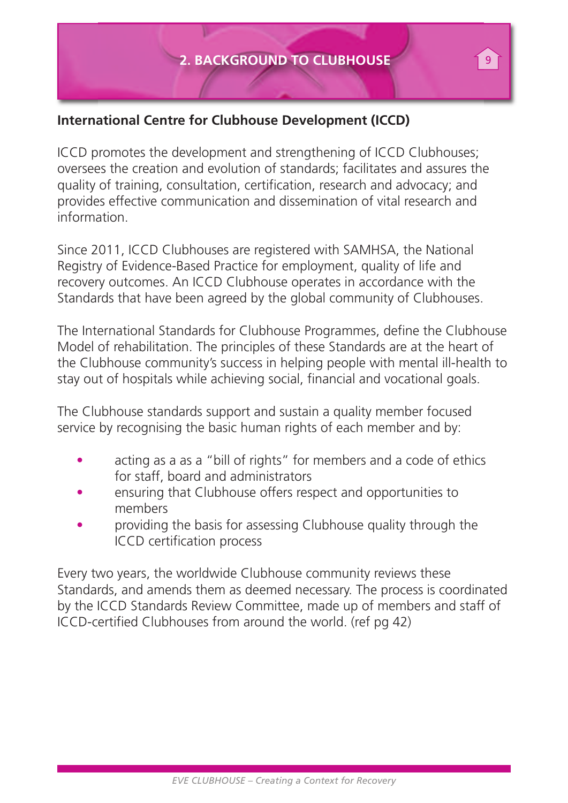#### **International Centre for Clubhouse Development (ICCD)**

ICCD promotes the development and strengthening of ICCD Clubhouses; oversees the creation and evolution of standards; facilitates and assures the quality of training, consultation, certification, research and advocacy; and provides effective communication and dissemination of vital research and information.

Since 2011, ICCD Clubhouses are registered with SAMHSA, the National Registry of Evidence-Based Practice for employment, quality of life and recovery outcomes. An ICCD Clubhouse operates in accordance with the Standards that have been agreed by the global community of Clubhouses.

The International Standards for Clubhouse Programmes, define the Clubhouse Model of rehabilitation. The principles of these Standards are at the heart of the Clubhouse community's success in helping people with mental ill-health to stay out of hospitals while achieving social, financial and vocational goals.

The Clubhouse standards support and sustain a quality member focused service by recognising the basic human rights of each member and by:

- acting as a as a "bill of rights" for members and a code of ethics for staff, board and administrators
- ensuring that Clubhouse offers respect and opportunities to members
- providing the basis for assessing Clubhouse quality through the ICCD certification process

Every two years, the worldwide Clubhouse community reviews these Standards, and amends them as deemed necessary. The process is coordinated by the ICCD Standards Review Committee, made up of members and staff of ICCD-certified Clubhouses from around the world. (ref pg 42)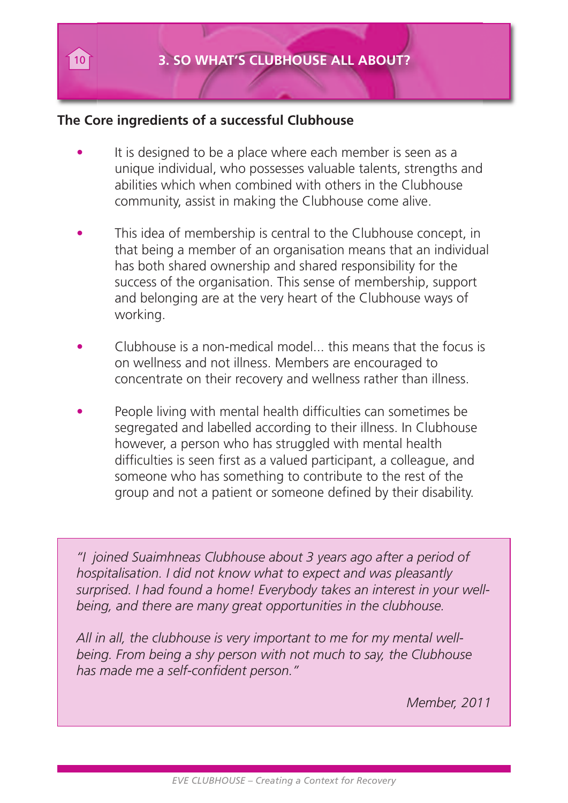#### **The Core ingredients of a successful Clubhouse**

- It is designed to be a place where each member is seen as a unique individual, who possesses valuable talents, strengths and abilities which when combined with others in the Clubhouse community, assist in making the Clubhouse come alive.
- This idea of membership is central to the Clubhouse concept, in that being a member of an organisation means that an individual has both shared ownership and shared responsibility for the success of the organisation. This sense of membership, support and belonging are at the very heart of the Clubhouse ways of working.
- Clubhouse is a non-medical model... this means that the focus is on wellness and not illness. Members are encouraged to concentrate on their recovery and wellness rather than illness.
- People living with mental health difficulties can sometimes be segregated and labelled according to their illness. In Clubhouse however, a person who has struggled with mental health difficulties is seen first as a valued participant, a colleague, and someone who has something to contribute to the rest of the group and not a patient or someone defined by their disability.

*"I joined Suaimhneas Clubhouse about 3 years ago after a period of hospitalisation. I did not know what to expect and was pleasantly surprised. I had found a home! Everybody takes an interest in your wellbeing, and there are many great opportunities in the clubhouse.*

*All in all, the clubhouse is very important to me for my mental wellbeing. From being a shy person with not much to say, the Clubhouse has made me a self-confident person."*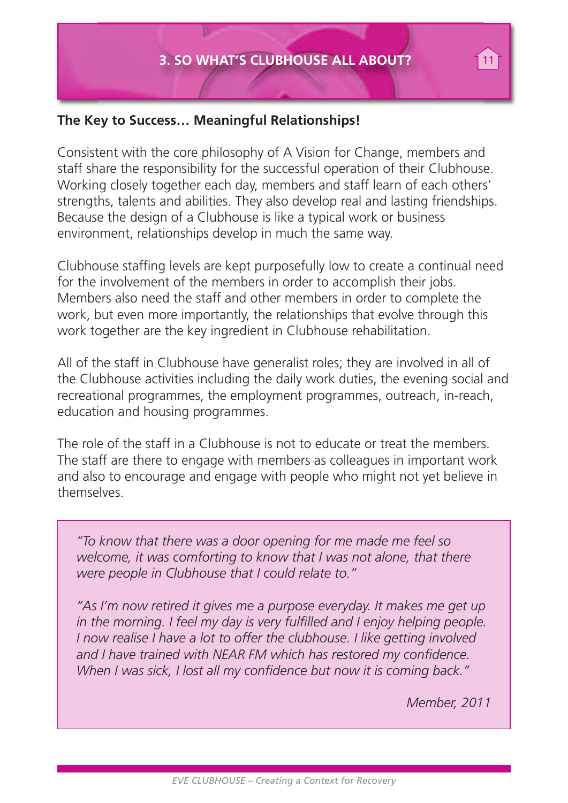#### **The Key to Success… Meaningful Relationships!**

Consistent with the core philosophy of A Vision for Change, members and staff share the responsibility for the successful operation of their Clubhouse. Working closely together each day, members and staff learn of each others' strengths, talents and abilities. They also develop real and lasting friendships. Because the design of a Clubhouse is like a typical work or business environment, relationships develop in much the same way.

Clubhouse staffing levels are kept purposefully low to create a continual need for the involvement of the members in order to accomplish their jobs. Members also need the staff and other members in order to complete the work, but even more importantly, the relationships that evolve through this work together are the key ingredient in Clubhouse rehabilitation.

All of the staff in Clubhouse have generalist roles; they are involved in all of the Clubhouse activities including the daily work duties, the evening social and recreational programmes, the employment programmes, outreach, in-reach, education and housing programmes.

The role of the staff in a Clubhouse is not to educate or treat the members. The staff are there to engage with members as colleagues in important work and also to encourage and engage with people who might not yet believe in themselves.

*"To know that there was a door opening for me made me feel so welcome, it was comforting to know that I was not alone, that there were people in Clubhouse that I could relate to."*

*"As I'm now retired it gives me a purpose everyday. It makes me get up in the morning. I feel my day is very fulfilled and I enjoy helping people. I now realise I have a lot to offer the clubhouse. I like getting involved and I have trained with NEAR FM which has restored my confidence. When I was sick, I lost all my confidence but now it is coming back."*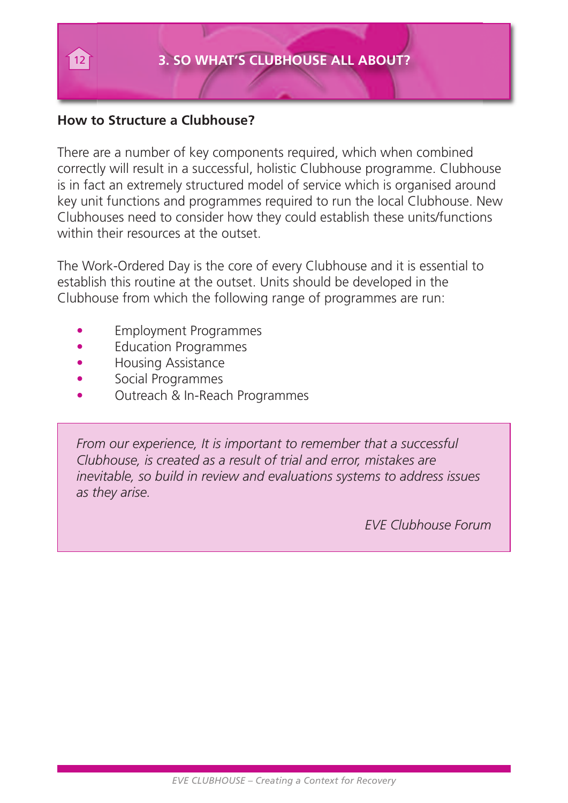#### **How to Structure a Clubhouse?**

There are a number of key components required, which when combined correctly will result in a successful, holistic Clubhouse programme. Clubhouse is in fact an extremely structured model of service which is organised around key unit functions and programmes required to run the local Clubhouse. New Clubhouses need to consider how they could establish these units/functions within their resources at the outset.

The Work-Ordered Day is the core of every Clubhouse and it is essential to establish this routine at the outset. Units should be developed in the Clubhouse from which the following range of programmes are run:

- Employment Programmes
- Education Programmes
- Housing Assistance
- Social Programmes
- Outreach & In-Reach Programmes

*From our experience, It is important to remember that a successful Clubhouse, is created as a result of trial and error, mistakes are inevitable, so build in review and evaluations systems to address issues as they arise.*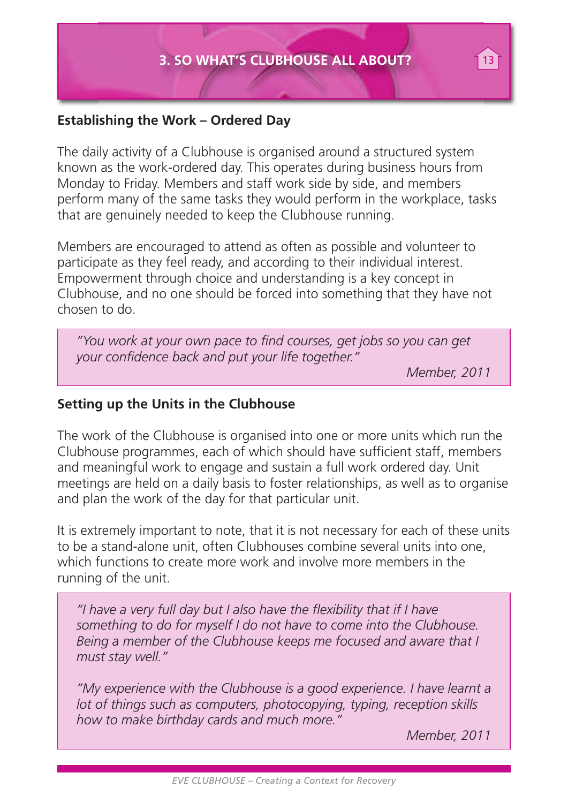#### **Establishing the Work – Ordered Day**

The daily activity of a Clubhouse is organised around a structured system known as the work-ordered day. This operates during business hours from Monday to Friday. Members and staff work side by side, and members perform many of the same tasks they would perform in the workplace, tasks that are genuinely needed to keep the Clubhouse running.

Members are encouraged to attend as often as possible and volunteer to participate as they feel ready, and according to their individual interest. Empowerment through choice and understanding is a key concept in Clubhouse, and no one should be forced into something that they have not chosen to do.

*"You work at your own pace to find courses, get jobs so you can get your confidence back and put your life together."*

*Member, 2011*

#### **Setting up the Units in the Clubhouse**

The work of the Clubhouse is organised into one or more units which run the Clubhouse programmes, each of which should have sufficient staff, members and meaningful work to engage and sustain a full work ordered day. Unit meetings are held on a daily basis to foster relationships, as well as to organise and plan the work of the day for that particular unit.

It is extremely important to note, that it is not necessary for each of these units to be a stand-alone unit, often Clubhouses combine several units into one, which functions to create more work and involve more members in the running of the unit.

*"I have a very full day but I also have the flexibility that if I have something to do for myself I do not have to come into the Clubhouse. Being a member of the Clubhouse keeps me focused and aware that I must stay well."*

*"My experience with the Clubhouse is a good experience. I have learnt a lot of things such as computers, photocopying, typing, reception skills how to make birthday cards and much more."*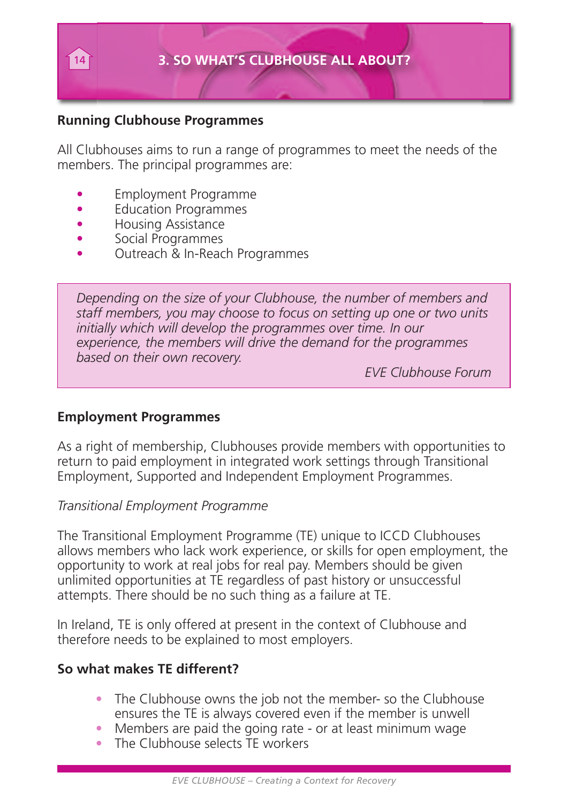

#### **Running Clubhouse Programmes**

All Clubhouses aims to run a range of programmes to meet the needs of the members. The principal programmes are:

- Employment Programme
- **Education Programmes**
- Housing Assistance
- Social Programmes
- Outreach & In-Reach Programmes

*Depending on the size of your Clubhouse, the number of members and staff members, you may choose to focus on setting up one or two units initially which will develop the programmes over time. In our experience, the members will drive the demand for the programmes based on their own recovery.*

*EVE Clubhouse Forum*

#### **Employment Programmes**

As a right of membership, Clubhouses provide members with opportunities to return to paid employment in integrated work settings through Transitional Employment, Supported and Independent Employment Programmes.

#### *Transitional Employment Programme*

The Transitional Employment Programme (TE) unique to ICCD Clubhouses allows members who lack work experience, or skills for open employment, the opportunity to work at real jobs for real pay. Members should be given unlimited opportunities at TE regardless of past history or unsuccessful attempts. There should be no such thing as a failure at TE.

In Ireland, TE is only offered at present in the context of Clubhouse and therefore needs to be explained to most employers.

#### **So what makes TE different?**

- The Clubhouse owns the job not the member- so the Clubhouse ensures the TE is always covered even if the member is unwell
- Members are paid the going rate or at least minimum wage
- The Clubhouse selects TF workers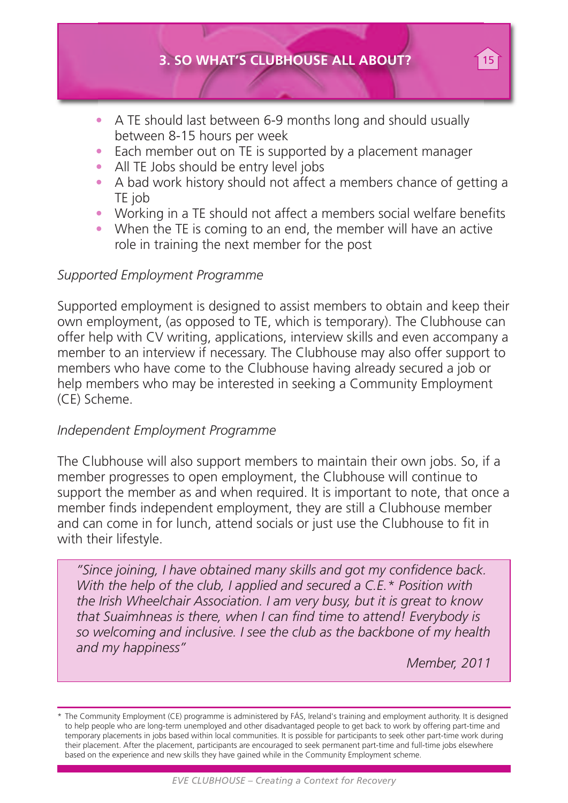- A TE should last between 6-9 months long and should usually between 8-15 hours per week
- Each member out on TE is supported by a placement manager
- All TE Jobs should be entry level jobs
- A bad work history should not affect a members chance of getting a TE job
- Working in a TE should not affect a members social welfare benefits
- When the TE is coming to an end, the member will have an active role in training the next member for the post

#### *Supported Employment Programme*

Supported employment is designed to assist members to obtain and keep their own employment, (as opposed to TE, which is temporary). The Clubhouse can offer help with CV writing, applications, interview skills and even accompany a member to an interview if necessary. The Clubhouse may also offer support to members who have come to the Clubhouse having already secured a job or help members who may be interested in seeking a Community Employment (CE) Scheme.

#### *Independent Employment Programme*

The Clubhouse will also support members to maintain their own jobs. So, if a member progresses to open employment, the Clubhouse will continue to support the member as and when required. It is important to note, that once a member finds independent employment, they are still a Clubhouse member and can come in for lunch, attend socials or just use the Clubhouse to fit in with their lifestyle.

*"Since joining, I have obtained many skills and got my confidence back. With the help of the club, I applied and secured a C.E.\* Position with the Irish Wheelchair Association. I am very busy, but it is great to know that Suaimhneas is there, when I can find time to attend! Everybody is so welcoming and inclusive. I see the club as the backbone of my health and my happiness"*

*Member, 2011*

\* The Community Employment (CE) programme is administered by FÁS, Ireland's training and employment authority. It is designed to help people who are long-term unemployed and other disadvantaged people to get back to work by offering part-time and temporary placements in jobs based within local communities. It is possible for participants to seek other part-time work during their placement. After the placement, participants are encouraged to seek permanent part-time and full-time jobs elsewhere based on the experience and new skills they have gained while in the Community Employment scheme.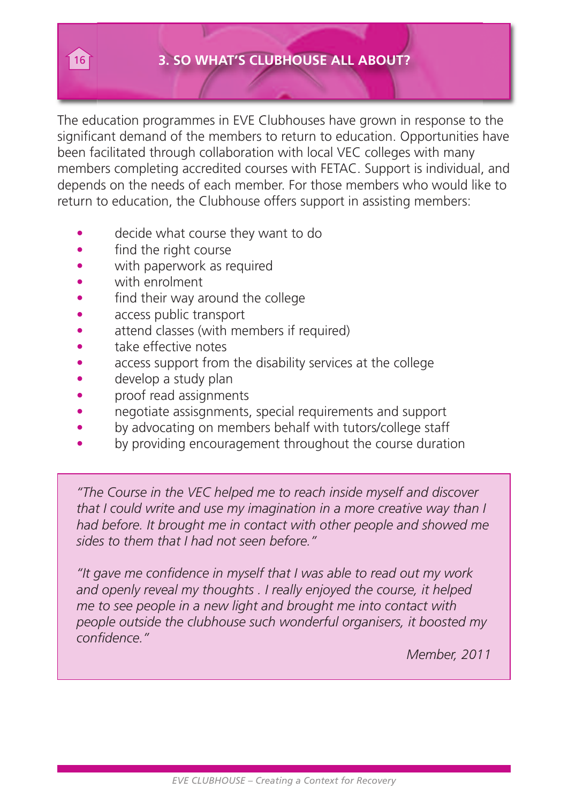#### 16 **3. SO WHAT'S CLUBHOUSE ALL ABOUT?**

The education programmes in EVE Clubhouses have grown in response to the significant demand of the members to return to education. Opportunities have been facilitated through collaboration with local VEC colleges with many members completing accredited courses with FETAC. Support is individual, and depends on the needs of each member. For those members who would like to return to education, the Clubhouse offers support in assisting members:

- decide what course they want to do
- find the right course
- with paperwork as required
- with enrolment
- find their way around the college
- access public transport
- attend classes (with members if required)
- take effective notes
- access support from the disability services at the college
- develop a study plan
- proof read assignments
- negotiate assisgnments, special requirements and support
- by advocating on members behalf with tutors/college staff
- by providing encouragement throughout the course duration

*"The Course in the VEC helped me to reach inside myself and discover that I could write and use my imagination in a more creative way than I had before. It brought me in contact with other people and showed me sides to them that I had not seen before."*

*"It gave me confidence in myself that I was able to read out my work and openly reveal my thoughts . I really enjoyed the course, it helped me to see people in a new light and brought me into contact with people outside the clubhouse such wonderful organisers, it boosted my confidence."*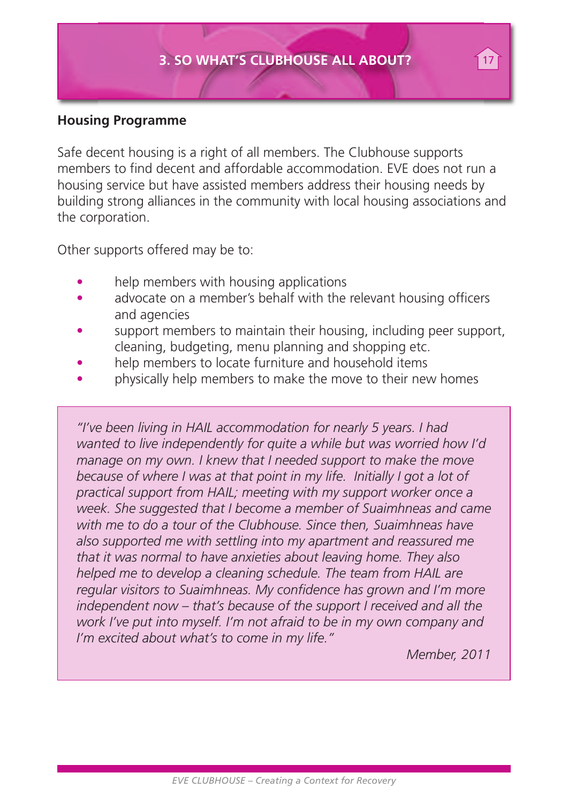#### **Housing Programme**

Safe decent housing is a right of all members. The Clubhouse supports members to find decent and affordable accommodation. EVE does not run a housing service but have assisted members address their housing needs by building strong alliances in the community with local housing associations and the corporation.

Other supports offered may be to:

- help members with housing applications
- advocate on a member's behalf with the relevant housing officers and agencies
- support members to maintain their housing, including peer support, cleaning, budgeting, menu planning and shopping etc.
- help members to locate furniture and household items
- physically help members to make the move to their new homes

*"I've been living in HAIL accommodation for nearly 5 years. I had wanted to live independently for quite a while but was worried how I'd manage on my own. I knew that I needed support to make the move because of where I was at that point in my life. Initially I got a lot of practical support from HAIL; meeting with my support worker once a week. She suggested that I become a member of Suaimhneas and came with me to do a tour of the Clubhouse. Since then, Suaimhneas have also supported me with settling into my apartment and reassured me that it was normal to have anxieties about leaving home. They also helped me to develop a cleaning schedule. The team from HAIL are regular visitors to Suaimhneas. My confidence has grown and I'm more independent now – that's because of the support I received and all the work I've put into myself. I'm not afraid to be in my own company and I'm excited about what's to come in my life."*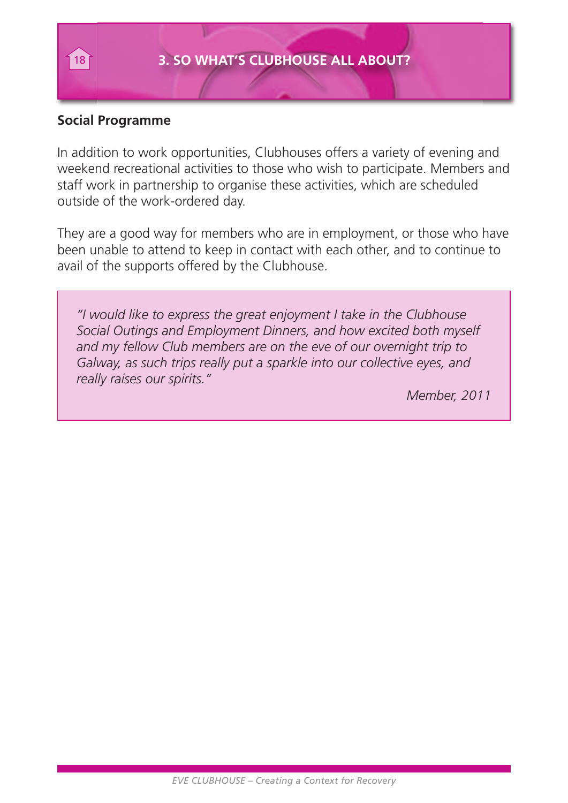#### **Social Programme**

In addition to work opportunities, Clubhouses offers a variety of evening and weekend recreational activities to those who wish to participate. Members and staff work in partnership to organise these activities, which are scheduled outside of the work-ordered day.

They are a good way for members who are in employment, or those who have been unable to attend to keep in contact with each other, and to continue to avail of the supports offered by the Clubhouse.

*"I would like to express the great enjoyment I take in the Clubhouse Social Outings and Employment Dinners, and how excited both myself and my fellow Club members are on the eve of our overnight trip to Galway, as such trips really put a sparkle into our collective eyes, and really raises our spirits."*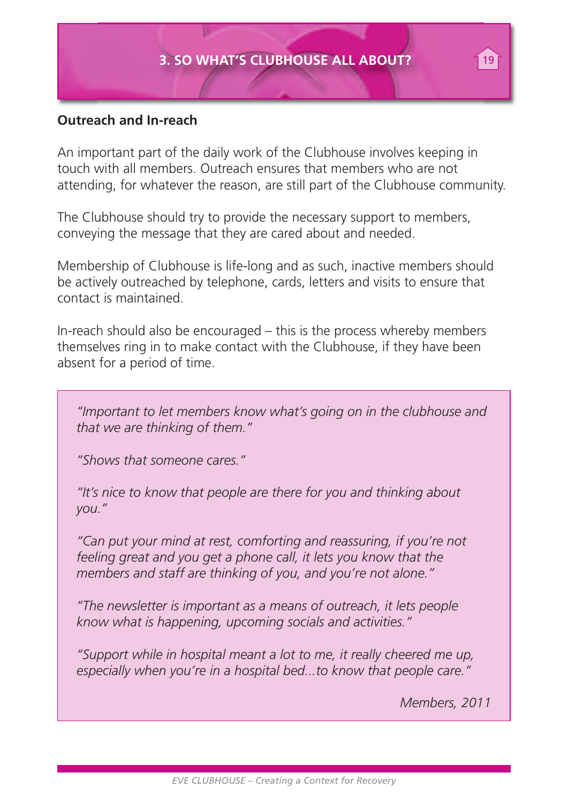#### **Outreach and In-reach**

An important part of the daily work of the Clubhouse involves keeping in touch with all members. Outreach ensures that members who are not attending, for whatever the reason, are still part of the Clubhouse community.

The Clubhouse should try to provide the necessary support to members, conveying the message that they are cared about and needed.

Membership of Clubhouse is life-long and as such, inactive members should be actively outreached by telephone, cards, letters and visits to ensure that contact is maintained.

In-reach should also be encouraged – this is the process whereby members themselves ring in to make contact with the Clubhouse, if they have been absent for a period of time.

*"Important to let members know what's going on in the clubhouse and that we are thinking of them."*

*"Shows that someone cares."*

*"It's nice to know that people are there for you and thinking about you."*

*"Can put your mind at rest, comforting and reassuring, if you're not feeling great and you get a phone call, it lets you know that the members and staff are thinking of you, and you're not alone."*

*"The newsletter is important as a means of outreach, it lets people know what is happening, upcoming socials and activities."*

*"Support while in hospital meant a lot to me, it really cheered me up, especially when you're in a hospital bed...to know that people care."*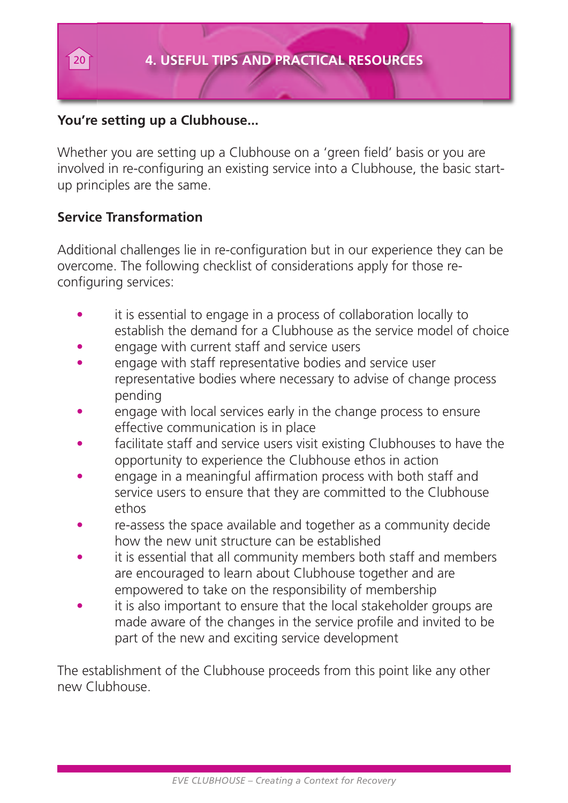#### **You're setting up a Clubhouse...**

Whether you are setting up a Clubhouse on a 'green field' basis or you are involved in re-configuring an existing service into a Clubhouse, the basic startup principles are the same.

#### **Service Transformation**

Additional challenges lie in re-configuration but in our experience they can be overcome. The following checklist of considerations apply for those reconfiguring services:

- it is essential to engage in a process of collaboration locally to establish the demand for a Clubhouse as the service model of choice
- engage with current staff and service users
- engage with staff representative bodies and service user representative bodies where necessary to advise of change process pending
- engage with local services early in the change process to ensure effective communication is in place
- facilitate staff and service users visit existing Clubhouses to have the opportunity to experience the Clubhouse ethos in action
- engage in a meaningful affirmation process with both staff and service users to ensure that they are committed to the Clubhouse ethos
- re-assess the space available and together as a community decide how the new unit structure can be established
- it is essential that all community members both staff and members are encouraged to learn about Clubhouse together and are empowered to take on the responsibility of membership
- it is also important to ensure that the local stakeholder groups are made aware of the changes in the service profile and invited to be part of the new and exciting service development

The establishment of the Clubhouse proceeds from this point like any other new Clubhouse.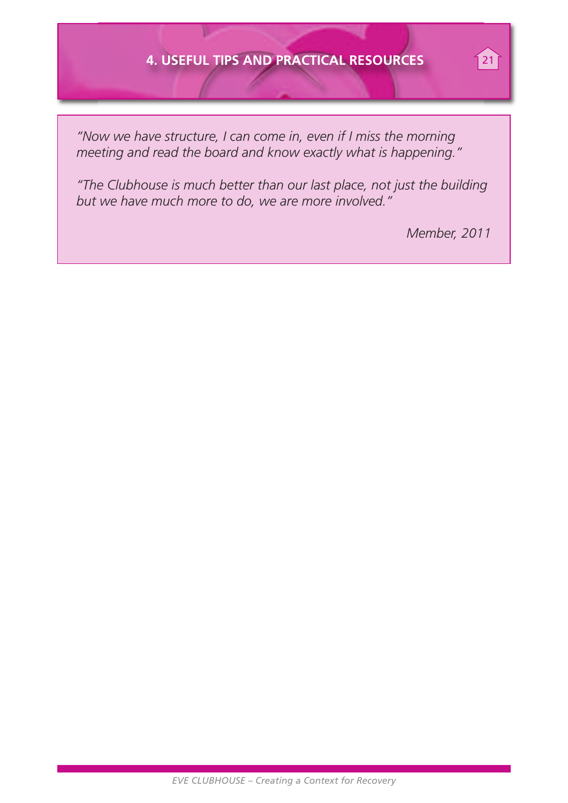#### **4. USEFUL TIPS AND PRACTICAL RESOURCES** 21

*"Now we have structure, I can come in, even if I miss the morning meeting and read the board and know exactly what is happening."*

*"The Clubhouse is much better than our last place, not just the building but we have much more to do, we are more involved."*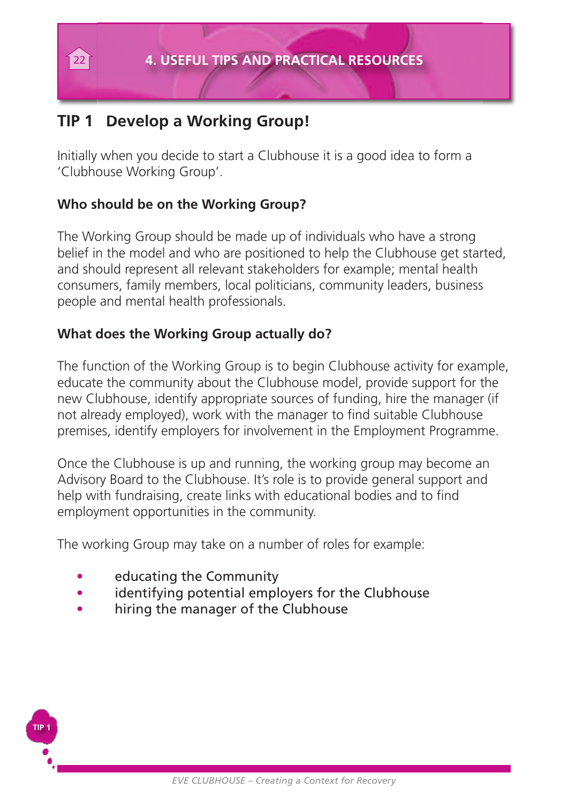### **TIP 1 Develop a Working Group!**

Initially when you decide to start a Clubhouse it is a good idea to form a 'Clubhouse Working Group'.

#### **Who should be on the Working Group?**

The Working Group should be made up of individuals who have a strong belief in the model and who are positioned to help the Clubhouse get started, and should represent all relevant stakeholders for example; mental health consumers, family members, local politicians, community leaders, business people and mental health professionals.

#### **What does the Working Group actually do?**

The function of the Working Group is to begin Clubhouse activity for example, educate the community about the Clubhouse model, provide support for the new Clubhouse, identify appropriate sources of funding, hire the manager (if not already employed), work with the manager to find suitable Clubhouse premises, identify employers for involvement in the Employment Programme.

Once the Clubhouse is up and running, the working group may become an Advisory Board to the Clubhouse. It's role is to provide general support and help with fundraising, create links with educational bodies and to find employment opportunities in the community.

The working Group may take on a number of roles for example:

• educating the Community

**TIP 1**

- identifying potential employers for the Clubhouse
- hiring the manager of the Clubhouse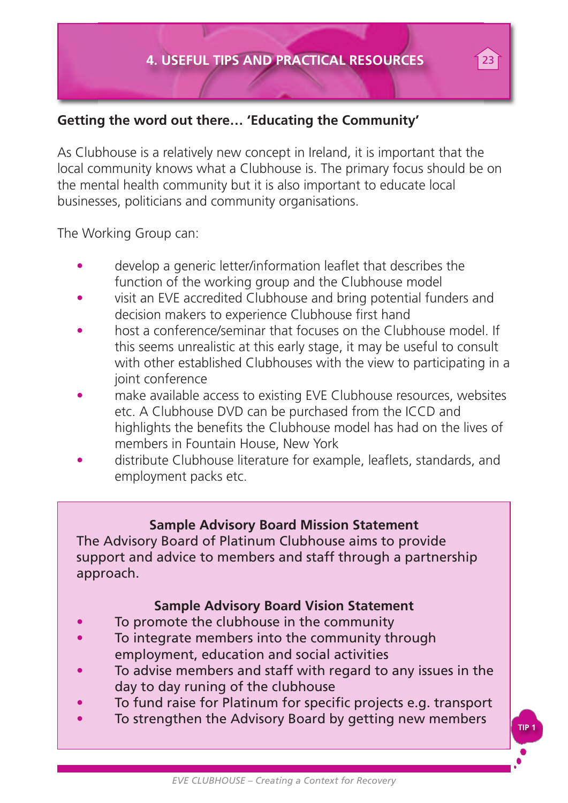#### **Getting the word out there… 'Educating the Community'**

As Clubhouse is a relatively new concept in Ireland, it is important that the local community knows what a Clubhouse is. The primary focus should be on the mental health community but it is also important to educate local businesses, politicians and community organisations.

The Working Group can:

- develop a generic letter/information leaflet that describes the function of the working group and the Clubhouse model
- visit an EVE accredited Clubhouse and bring potential funders and decision makers to experience Clubhouse first hand
- host a conference/seminar that focuses on the Clubhouse model. If this seems unrealistic at this early stage, it may be useful to consult with other established Clubhouses with the view to participating in a joint conference
- make available access to existing EVE Clubhouse resources, websites etc. A Clubhouse DVD can be purchased from the ICCD and highlights the benefits the Clubhouse model has had on the lives of members in Fountain House, New York
- distribute Clubhouse literature for example, leaflets, standards, and employment packs etc.

#### **Sample Advisory Board Mission Statement**

The Advisory Board of Platinum Clubhouse aims to provide support and advice to members and staff through a partnership approach.

#### **Sample Advisory Board Vision Statement**

- To promote the clubhouse in the community
- To integrate members into the community through employment, education and social activities
- To advise members and staff with regard to any issues in the day to day runing of the clubhouse
- To fund raise for Platinum for specific projects e.g. transport
- To strengthen the Advisory Board by getting new members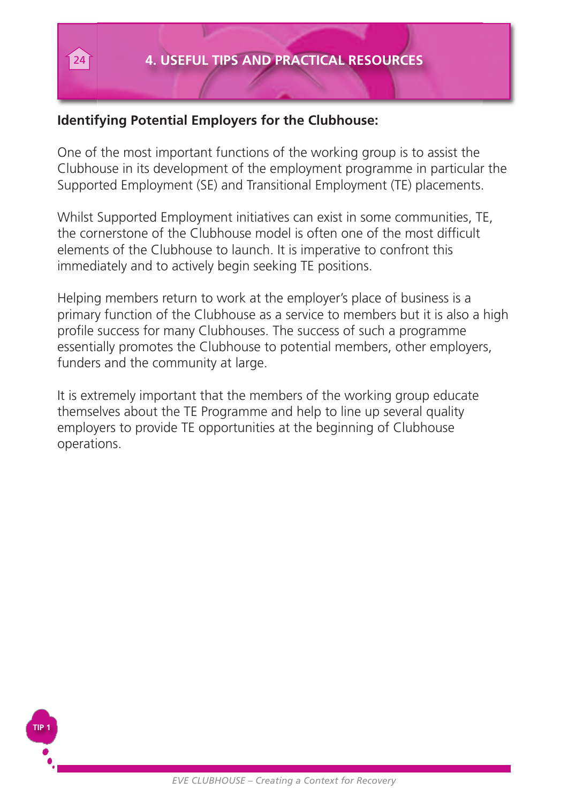#### **Identifying Potential Employers for the Clubhouse:**

One of the most important functions of the working group is to assist the Clubhouse in its development of the employment programme in particular the Supported Employment (SE) and Transitional Employment (TE) placements.

Whilst Supported Employment initiatives can exist in some communities, TE, the cornerstone of the Clubhouse model is often one of the most difficult elements of the Clubhouse to launch. It is imperative to confront this immediately and to actively begin seeking TE positions.

Helping members return to work at the employer's place of business is a primary function of the Clubhouse as a service to members but it is also a high profile success for many Clubhouses. The success of such a programme essentially promotes the Clubhouse to potential members, other employers, funders and the community at large.

It is extremely important that the members of the working group educate themselves about the TE Programme and help to line up several quality employers to provide TE opportunities at the beginning of Clubhouse operations.

**TIP 1**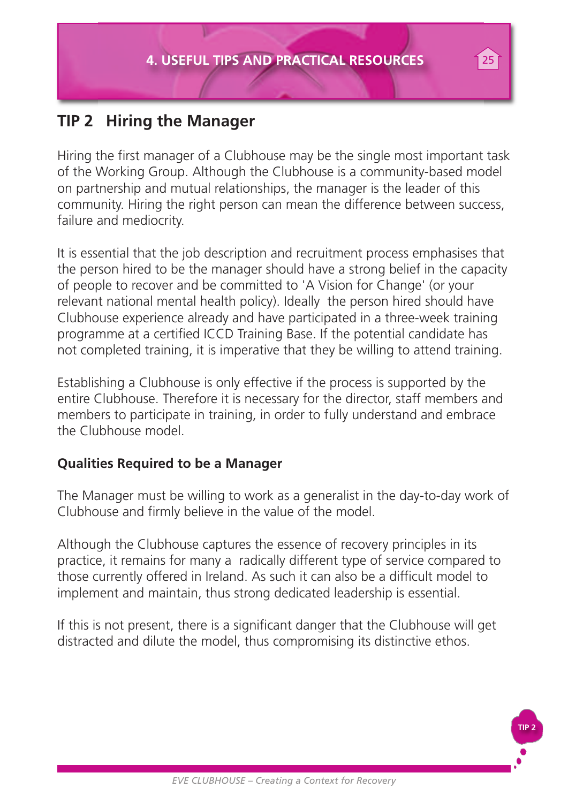### **TIP 2 Hiring the Manager**

Hiring the first manager of a Clubhouse may be the single most important task of the Working Group. Although the Clubhouse is a community-based model on partnership and mutual relationships, the manager is the leader of this community. Hiring the right person can mean the difference between success, failure and mediocrity.

It is essential that the job description and recruitment process emphasises that the person hired to be the manager should have a strong belief in the capacity of people to recover and be committed to 'A Vision for Change' (or your relevant national mental health policy). Ideally the person hired should have Clubhouse experience already and have participated in a three-week training programme at a certified ICCD Training Base. If the potential candidate has not completed training, it is imperative that they be willing to attend training.

Establishing a Clubhouse is only effective if the process is supported by the entire Clubhouse. Therefore it is necessary for the director, staff members and members to participate in training, in order to fully understand and embrace the Clubhouse model.

#### **Qualities Required to be a Manager**

The Manager must be willing to work as a generalist in the day-to-day work of Clubhouse and firmly believe in the value of the model.

Although the Clubhouse captures the essence of recovery principles in its practice, it remains for many a radically different type of service compared to those currently offered in Ireland. As such it can also be a difficult model to implement and maintain, thus strong dedicated leadership is essential.

If this is not present, there is a significant danger that the Clubhouse will get distracted and dilute the model, thus compromising its distinctive ethos.

**TIP 2**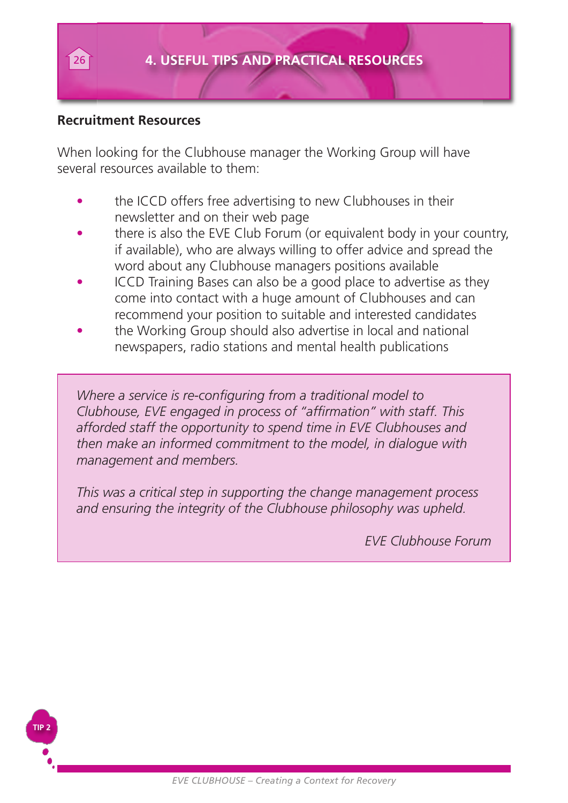#### **Recruitment Resources**

**TIP 2**

When looking for the Clubhouse manager the Working Group will have several resources available to them:

- the ICCD offers free advertising to new Clubhouses in their newsletter and on their web page
- there is also the EVE Club Forum (or equivalent body in your country, if available), who are always willing to offer advice and spread the word about any Clubhouse managers positions available
- ICCD Training Bases can also be a good place to advertise as they come into contact with a huge amount of Clubhouses and can recommend your position to suitable and interested candidates
- the Working Group should also advertise in local and national newspapers, radio stations and mental health publications

*Where a service is re-configuring from a traditional model to Clubhouse, EVE engaged in process of "affirmation" with staff. This afforded staff the opportunity to spend time in EVE Clubhouses and then make an informed commitment to the model, in dialogue with management and members.*

*This was a critical step in supporting the change management process and ensuring the integrity of the Clubhouse philosophy was upheld.*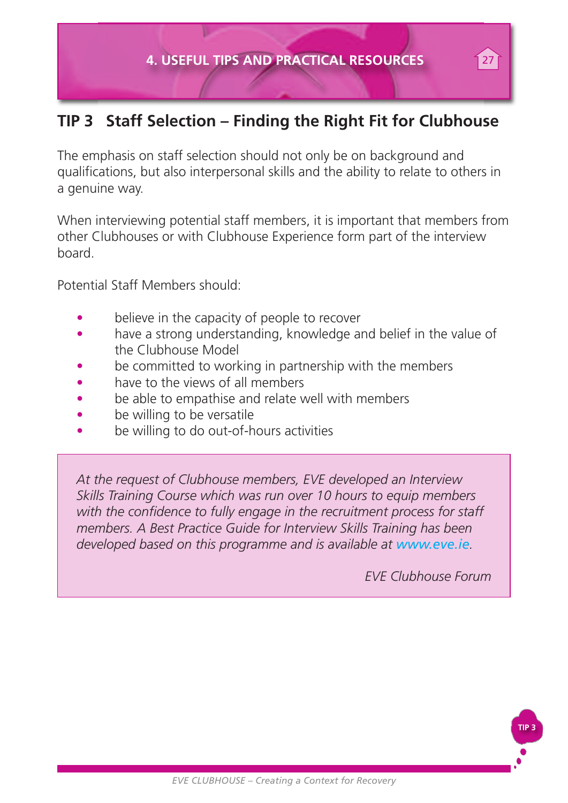### **TIP 3 Staff Selection – Finding the Right Fit for Clubhouse**

The emphasis on staff selection should not only be on background and qualifications, but also interpersonal skills and the ability to relate to others in a genuine way.

When interviewing potential staff members, it is important that members from other Clubhouses or with Clubhouse Experience form part of the interview board.

Potential Staff Members should:

- believe in the capacity of people to recover
- have a strong understanding, knowledge and belief in the value of the Clubhouse Model
- be committed to working in partnership with the members
- have to the views of all members
- be able to empathise and relate well with members
- be willing to be versatile
- be willing to do out-of-hours activities

*At the request of Clubhouse members, EVE developed an Interview Skills Training Course which was run over 10 hours to equip members with the confidence to fully engage in the recruitment process for staff members. A Best Practice Guide for Interview Skills Training has been developed based on this programme and is available at www.eve.ie.*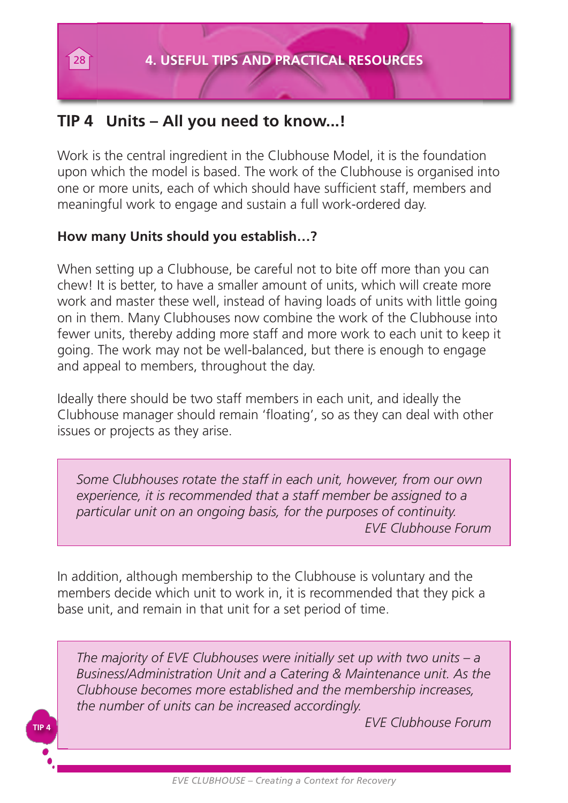### **TIP 4 Units – All you need to know...!**

Work is the central ingredient in the Clubhouse Model, it is the foundation upon which the model is based. The work of the Clubhouse is organised into one or more units, each of which should have sufficient staff, members and meaningful work to engage and sustain a full work-ordered day.

#### **How many Units should you establish…?**

**TIP 4**

When setting up a Clubhouse, be careful not to bite off more than you can chew! It is better, to have a smaller amount of units, which will create more work and master these well, instead of having loads of units with little going on in them. Many Clubhouses now combine the work of the Clubhouse into fewer units, thereby adding more staff and more work to each unit to keep it going. The work may not be well-balanced, but there is enough to engage and appeal to members, throughout the day.

Ideally there should be two staff members in each unit, and ideally the Clubhouse manager should remain 'floating', so as they can deal with other issues or projects as they arise.

*Some Clubhouses rotate the staff in each unit, however, from our own experience, it is recommended that a staff member be assigned to a particular unit on an ongoing basis, for the purposes of continuity. EVE Clubhouse Forum*

In addition, although membership to the Clubhouse is voluntary and the members decide which unit to work in, it is recommended that they pick a base unit, and remain in that unit for a set period of time.

*The majority of EVE Clubhouses were initially set up with two units – a Business/Administration Unit and a Catering & Maintenance unit. As the Clubhouse becomes more established and the membership increases, the number of units can be increased accordingly.*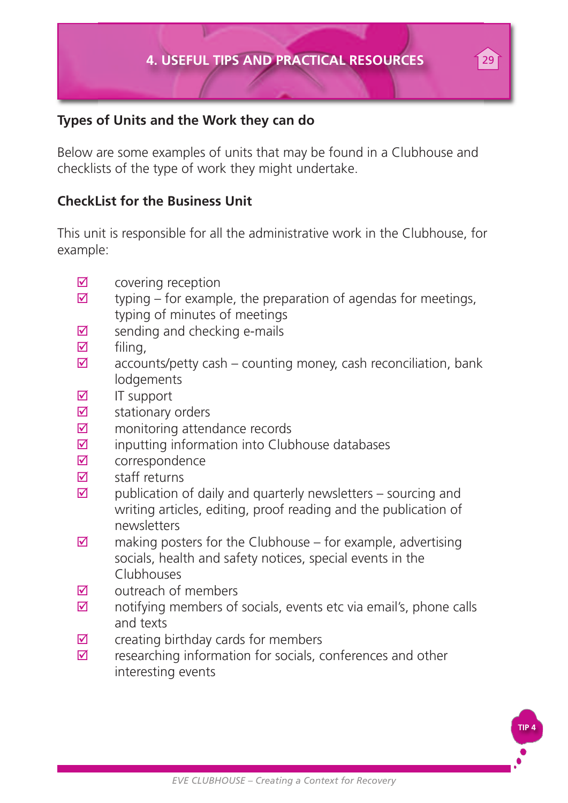#### **Types of Units and the Work they can do**

Below are some examples of units that may be found in a Clubhouse and checklists of the type of work they might undertake.

#### **CheckList for the Business Unit**

This unit is responsible for all the administrative work in the Clubhouse, for example:

- $\boxtimes$  covering reception
- $\boxtimes$  typing for example, the preparation of agendas for meetings, typing of minutes of meetings
- $\triangledown$  sending and checking e-mails
- $\triangledown$  filing,
- $\boxtimes$  accounts/petty cash counting money, cash reconciliation, bank **lodgements**
- $\blacksquare$  IT support
- $\boxtimes$  stationary orders
- $\boxtimes$  monitoring attendance records
- $\boxtimes$  inputting information into Clubhouse databases
- $\boxtimes$  correspondence
- $\boxtimes$  staff returns
- $\boxtimes$  publication of daily and quarterly newsletters sourcing and writing articles, editing, proof reading and the publication of newsletters
- $\boxtimes$  making posters for the Clubhouse for example, advertising socials, health and safety notices, special events in the Clubhouses
- $\nabla$  outreach of members
- $\boxtimes$  notifying members of socials, events etc via email's, phone calls and texts
- $\boxtimes$  creating birthday cards for members
- $\boxtimes$  researching information for socials, conferences and other interesting events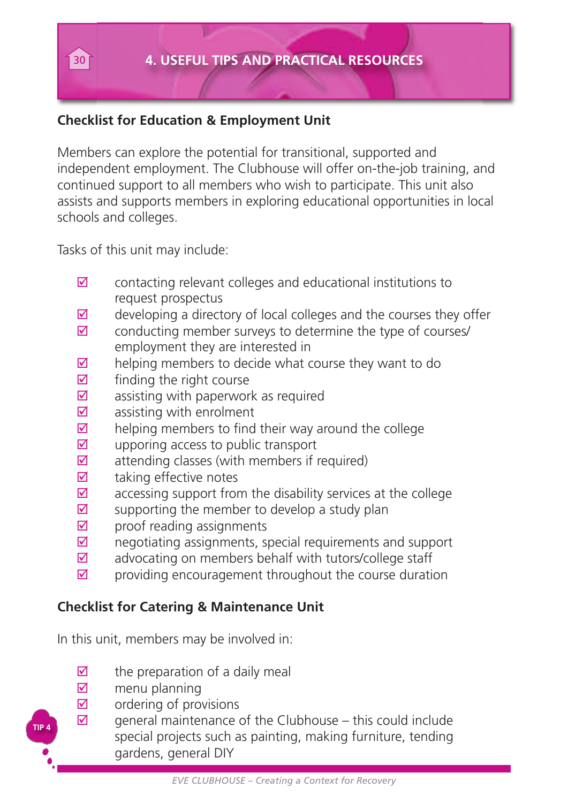#### **Checklist for Education & Employment Unit**

Members can explore the potential for transitional, supported and independent employment. The Clubhouse will offer on-the-job training, and continued support to all members who wish to participate. This unit also assists and supports members in exploring educational opportunities in local schools and colleges.

Tasks of this unit may include:

- $\boxtimes$  contacting relevant colleges and educational institutions to request prospectus
- $\boxtimes$  developing a directory of local colleges and the courses they offer
- $\boxtimes$  conducting member surveys to determine the type of courses/ employment they are interested in
- $\boxtimes$  helping members to decide what course they want to do
- $\boxtimes$  finding the right course
- $\boxtimes$  assisting with paperwork as required
- $\boxtimes$  assisting with enrolment
- $\boxtimes$  helping members to find their way around the college
- $\boxtimes$  upporing access to public transport
- $\boxtimes$  attending classes (with members if required)
- $\boxtimes$  taking effective notes
- $\boxtimes$  accessing support from the disability services at the college
- $\boxtimes$  supporting the member to develop a study plan
- $\boxtimes$  proof reading assignments
- $\boxtimes$  negotiating assignments, special requirements and support
- $\boxtimes$  advocating on members behalf with tutors/college staff
- $\boxtimes$  providing encouragement throughout the course duration

#### **Checklist for Catering & Maintenance Unit**

In this unit, members may be involved in:

- $\overline{2}$  the preparation of a daily meal<br>  $\overline{2}$  menu planning
- menu planning

**TIP 4**

- $\triangledown$  ordering of provisions
- $\boxtimes$  general maintenance of the Clubhouse this could include special projects such as painting, making furniture, tending gardens, general DIY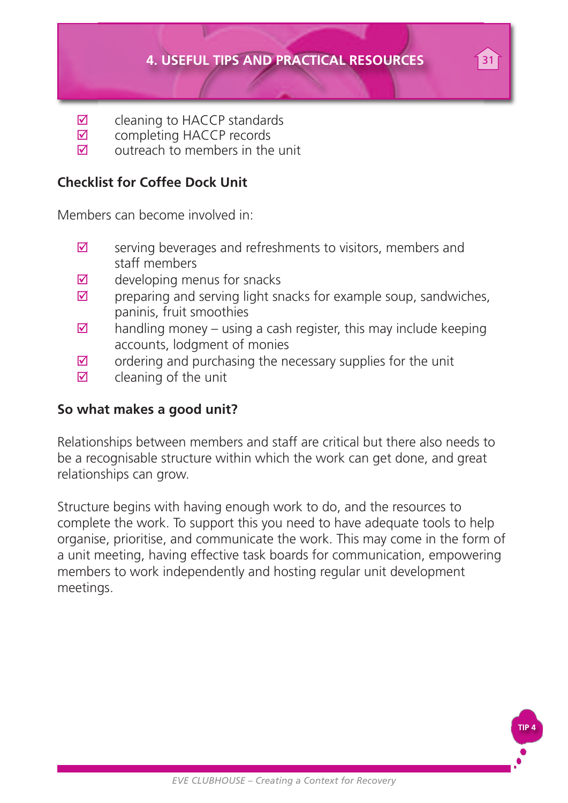#### **4. USEFUL TIPS AND PRACTICAL RESOURCES** 31

- $\boxtimes$  cleaning to HACCP standards<br> $\boxtimes$  completing HACCP records
- $\boxtimes$  completing HACCP records<br> $\boxtimes$  outreach to members in the
- outreach to members in the unit

#### **Checklist for Coffee Dock Unit**

Members can become involved in:

- $\boxtimes$  serving beverages and refreshments to visitors, members and staff members
- $\boxtimes$  developing menus for snacks
- $\boxtimes$  preparing and serving light snacks for example soup, sandwiches, paninis, fruit smoothies
- $\boxtimes$  handling money using a cash register, this may include keeping accounts, lodgment of monies
- $\boxtimes$  ordering and purchasing the necessary supplies for the unit
- $\boxtimes$  cleaning of the unit

#### **So what makes a good unit?**

Relationships between members and staff are critical but there also needs to be a recognisable structure within which the work can get done, and great relationships can grow.

Structure begins with having enough work to do, and the resources to complete the work. To support this you need to have adequate tools to help organise, prioritise, and communicate the work. This may come in the form of a unit meeting, having effective task boards for communication, empowering members to work independently and hosting regular unit development meetings.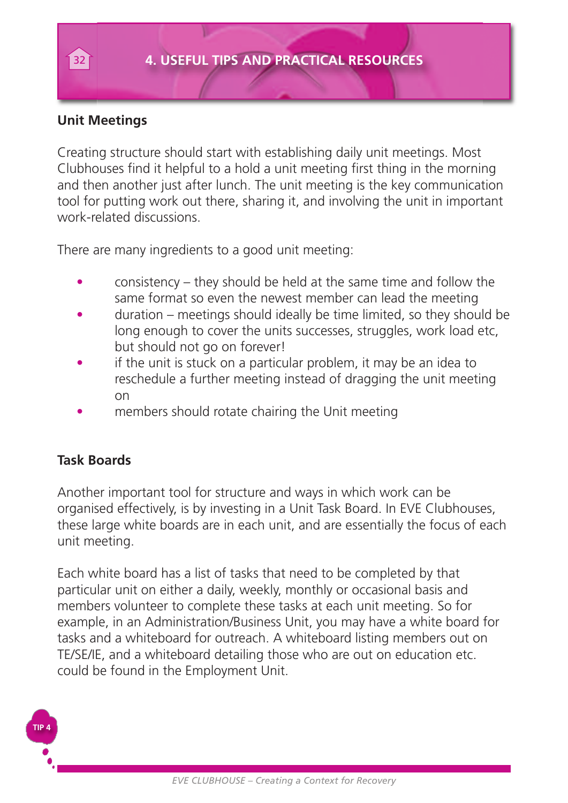#### **Unit Meetings**

Creating structure should start with establishing daily unit meetings. Most Clubhouses find it helpful to a hold a unit meeting first thing in the morning and then another just after lunch. The unit meeting is the key communication tool for putting work out there, sharing it, and involving the unit in important work-related discussions.

There are many ingredients to a good unit meeting:

- consistency they should be held at the same time and follow the same format so even the newest member can lead the meeting
- duration meetings should ideally be time limited, so they should be long enough to cover the units successes, struggles, work load etc. but should not go on forever!
- if the unit is stuck on a particular problem, it may be an idea to reschedule a further meeting instead of dragging the unit meeting on
- members should rotate chairing the Unit meeting

#### **Task Boards**

Another important tool for structure and ways in which work can be organised effectively, is by investing in a Unit Task Board. In EVE Clubhouses, these large white boards are in each unit, and are essentially the focus of each unit meeting.

Each white board has a list of tasks that need to be completed by that particular unit on either a daily, weekly, monthly or occasional basis and members volunteer to complete these tasks at each unit meeting. So for example, in an Administration/Business Unit, you may have a white board for tasks and a whiteboard for outreach. A whiteboard listing members out on TE/SE/IE, and a whiteboard detailing those who are out on education etc. could be found in the Employment Unit.

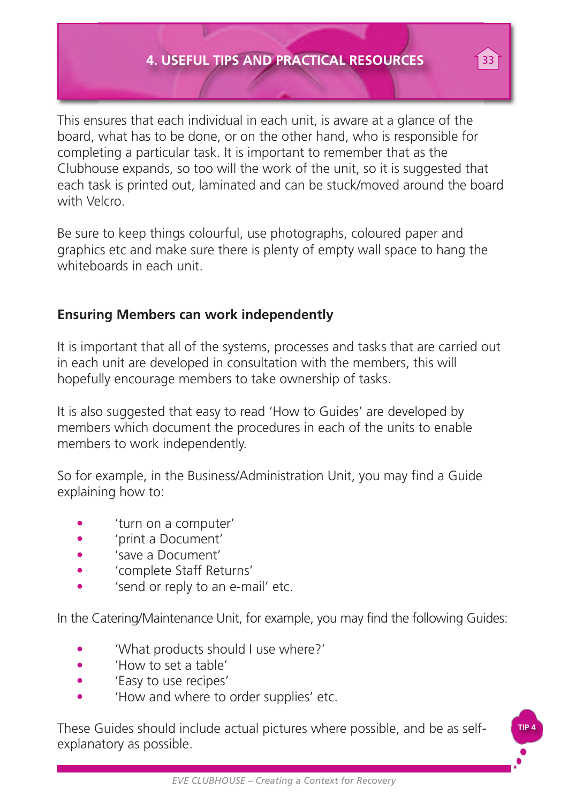#### **4. USEFUL TIPS AND PRACTICAL RESOURCES** 33

This ensures that each individual in each unit, is aware at a glance of the board, what has to be done, or on the other hand, who is responsible for completing a particular task. It is important to remember that as the Clubhouse expands, so too will the work of the unit, so it is suggested that each task is printed out, laminated and can be stuck/moved around the board with Velcro.

Be sure to keep things colourful, use photographs, coloured paper and graphics etc and make sure there is plenty of empty wall space to hang the whiteboards in each unit.

#### **Ensuring Members can work independently**

It is important that all of the systems, processes and tasks that are carried out in each unit are developed in consultation with the members, this will hopefully encourage members to take ownership of tasks.

It is also suggested that easy to read 'How to Guides' are developed by members which document the procedures in each of the units to enable members to work independently.

So for example, in the Business/Administration Unit, you may find a Guide explaining how to:

- 'turn on a computer'
- 'print a Document'
- 'save a Document'
- 'complete Staff Returns'
- 'send or reply to an e-mail' etc.

In the Catering/Maintenance Unit, for example, you may find the following Guides:

- 'What products should I use where?'
- 'How to set a table'
- 'Easy to use recipes'
- 'How and where to order supplies' etc.

These Guides should include actual pictures where possible, and be as selfexplanatory as possible.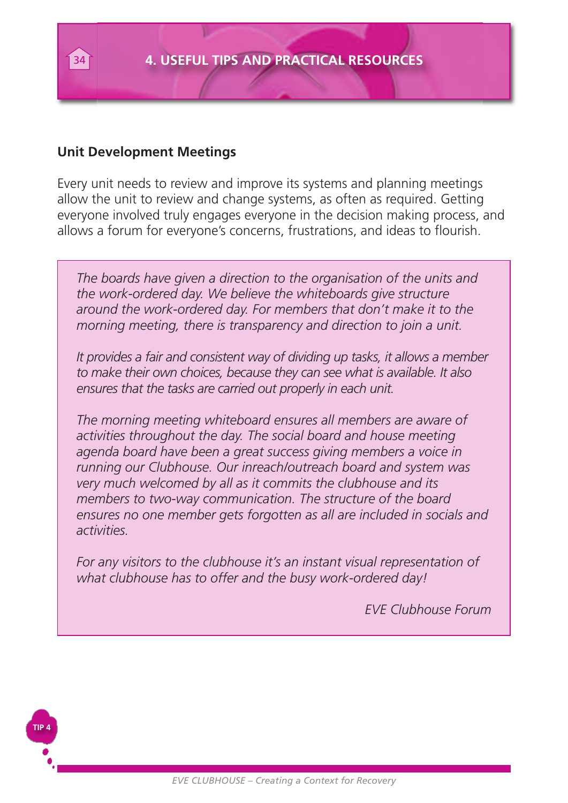

#### **Unit Development Meetings**

**TIP 4**

Every unit needs to review and improve its systems and planning meetings allow the unit to review and change systems, as often as required. Getting everyone involved truly engages everyone in the decision making process, and allows a forum for everyone's concerns, frustrations, and ideas to flourish.

*The boards have given a direction to the organisation of the units and the work-ordered day. We believe the whiteboards give structure around the work-ordered day. For members that don't make it to the morning meeting, there is transparency and direction to join a unit.*

*It provides a fair and consistent way of dividing up tasks, it allows a member to make their own choices, because they can see what is available. It also ensures that the tasks are carried out properly in each unit.*

*The morning meeting whiteboard ensures all members are aware of activities throughout the day. The social board and house meeting agenda board have been a great success giving members a voice in running our Clubhouse. Our inreach/outreach board and system was very much welcomed by all as it commits the clubhouse and its members to two-way communication. The structure of the board ensures no one member gets forgotten as all are included in socials and activities.*

*For any visitors to the clubhouse it's an instant visual representation of what clubhouse has to offer and the busy work-ordered day!*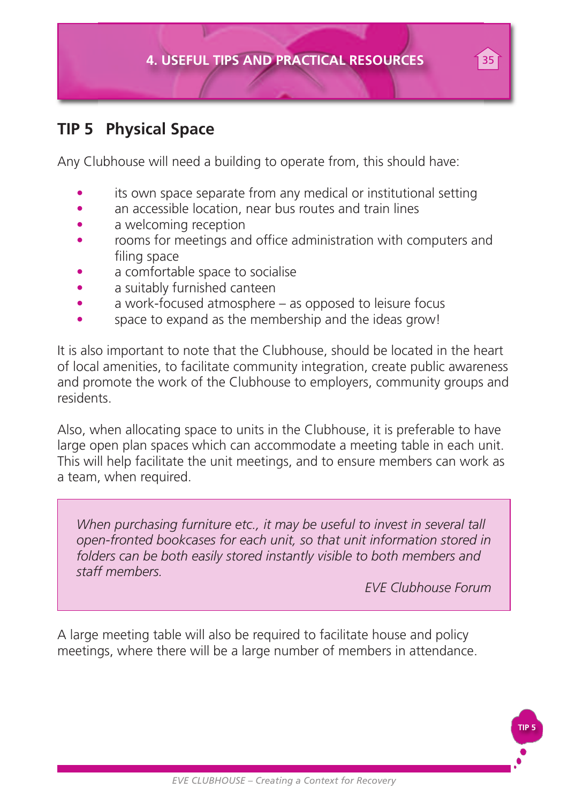

### **TIP 5 Physical Space**

Any Clubhouse will need a building to operate from, this should have:

- its own space separate from any medical or institutional setting
- an accessible location, near bus routes and train lines
- a welcoming reception
- rooms for meetings and office administration with computers and filing space
- a comfortable space to socialise
- a suitably furnished canteen
- a work-focused atmosphere as opposed to leisure focus
- space to expand as the membership and the ideas grow!

It is also important to note that the Clubhouse, should be located in the heart of local amenities, to facilitate community integration, create public awareness and promote the work of the Clubhouse to employers, community groups and residents.

Also, when allocating space to units in the Clubhouse, it is preferable to have large open plan spaces which can accommodate a meeting table in each unit. This will help facilitate the unit meetings, and to ensure members can work as a team, when required.

*When purchasing furniture etc., it may be useful to invest in several tall open-fronted bookcases for each unit, so that unit information stored in folders can be both easily stored instantly visible to both members and staff members.*

*EVE Clubhouse Forum*

**TIP 5**

A large meeting table will also be required to facilitate house and policy meetings, where there will be a large number of members in attendance.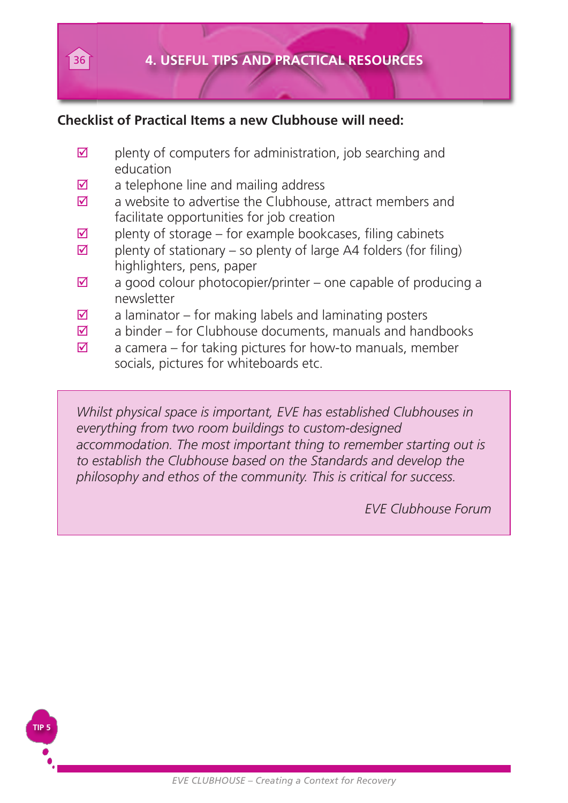

#### **Checklist of Practical Items a new Clubhouse will need:**

- $\boxtimes$  plenty of computers for administration, job searching and education
- $\boxtimes$  a telephone line and mailing address
- $\boxtimes$  a website to advertise the Clubhouse, attract members and facilitate opportunities for job creation
- $\boxtimes$  plenty of storage for example bookcases, filing cabinets
- $\boxtimes$  plenty of stationary so plenty of large A4 folders (for filing) highlighters, pens, paper
- $\boxtimes$  a good colour photocopier/printer one capable of producing a newsletter
- $\boxtimes$  a laminator for making labels and laminating posters
- $\overline{M}$  a binder for Clubhouse documents, manuals and handbooks
- $\overline{M}$  a camera for taking pictures for how-to manuals, member socials, pictures for whiteboards etc.

*Whilst physical space is important, EVE has established Clubhouses in everything from two room buildings to custom-designed accommodation. The most important thing to remember starting out is to establish the Clubhouse based on the Standards and develop the philosophy and ethos of the community. This is critical for success.*

*EVE Clubhouse Forum*

**TIP 5**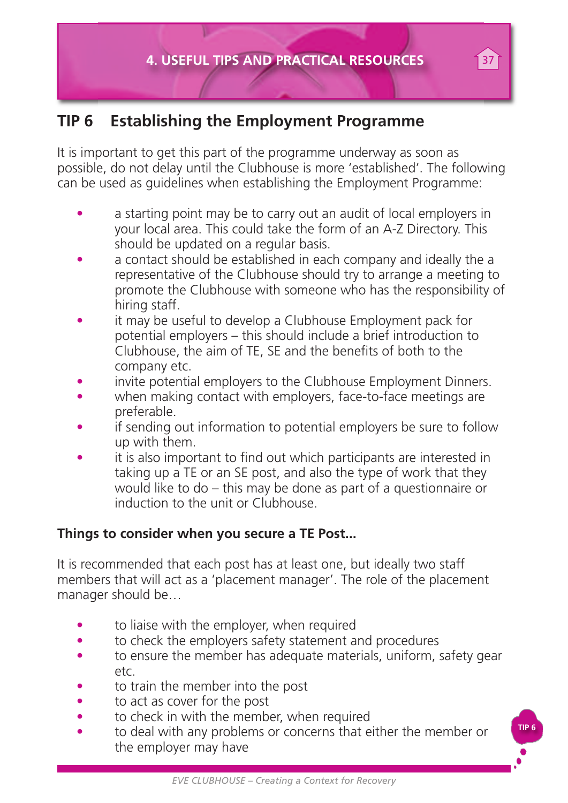### **TIP 6 Establishing the Employment Programme**

It is important to get this part of the programme underway as soon as possible, do not delay until the Clubhouse is more 'established'. The following can be used as guidelines when establishing the Employment Programme:

- a starting point may be to carry out an audit of local employers in your local area. This could take the form of an A-Z Directory. This should be updated on a regular basis.
- a contact should be established in each company and ideally the a representative of the Clubhouse should try to arrange a meeting to promote the Clubhouse with someone who has the responsibility of hiring staff.
- it may be useful to develop a Clubhouse Employment pack for potential employers – this should include a brief introduction to Clubhouse, the aim of TE, SE and the benefits of both to the company etc.
- invite potential employers to the Clubhouse Employment Dinners.
- when making contact with employers, face-to-face meetings are preferable.
- if sending out information to potential employers be sure to follow up with them.
- it is also important to find out which participants are interested in taking up a TE or an SE post, and also the type of work that they would like to do – this may be done as part of a questionnaire or induction to the unit or Clubhouse.

#### **Things to consider when you secure a TE Post...**

It is recommended that each post has at least one, but ideally two staff members that will act as a 'placement manager'. The role of the placement manager should be…

- to liaise with the employer, when required
- to check the employers safety statement and procedures
- to ensure the member has adequate materials, uniform, safety gear etc.
- to train the member into the post
- to act as cover for the post
- to check in with the member, when required
- to deal with any problems or concerns that either the member or the employer may have

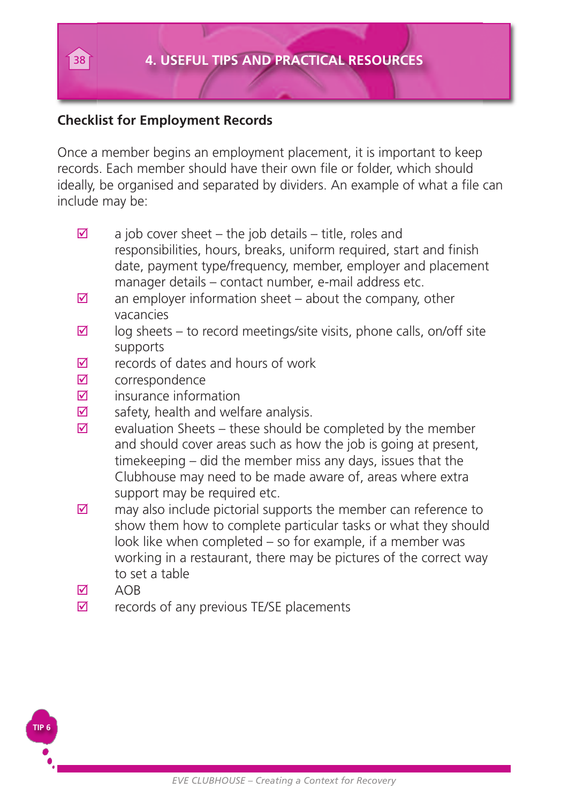#### **Checklist for Employment Records**

Once a member begins an employment placement, it is important to keep records. Each member should have their own file or folder, which should ideally, be organised and separated by dividers. An example of what a file can include may be:

- $\boxtimes$  a job cover sheet the job details title, roles and responsibilities, hours, breaks, uniform required, start and finish date, payment type/frequency, member, employer and placement manager details – contact number, e-mail address etc.
- $\boxtimes$  an employer information sheet about the company, other vacancies
- $\boxtimes$  log sheets to record meetings/site visits, phone calls, on/off site supports
- $\nabla$  records of dates and hours of work
- $\nabla$  correspondence
- $\boxtimes$  insurance information
- $\triangledown$  safety, health and welfare analysis.
- $\boxtimes$  evaluation Sheets these should be completed by the member and should cover areas such as how the job is going at present, timekeeping – did the member miss any days, issues that the Clubhouse may need to be made aware of, areas where extra support may be required etc.
- $\boxtimes$  may also include pictorial supports the member can reference to show them how to complete particular tasks or what they should look like when completed – so for example, if a member was working in a restaurant, there may be pictures of the correct way to set a table
- $M$   $\triangle$  OR

**TIP 6**

 $\triangledown$  records of any previous TE/SE placements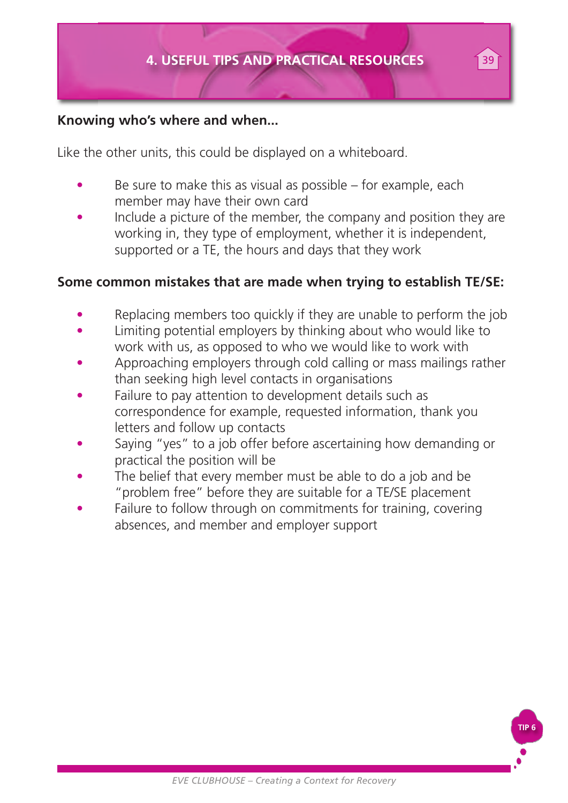#### **Knowing who's where and when...**

Like the other units, this could be displayed on a whiteboard.

- Be sure to make this as visual as possible for example, each member may have their own card
- Include a picture of the member, the company and position they are working in, they type of employment, whether it is independent, supported or a TE, the hours and days that they work

#### **Some common mistakes that are made when trying to establish TE/SE:**

- Replacing members too quickly if they are unable to perform the job
- Limiting potential employers by thinking about who would like to work with us, as opposed to who we would like to work with
- Approaching employers through cold calling or mass mailings rather than seeking high level contacts in organisations
- Failure to pay attention to development details such as correspondence for example, requested information, thank you letters and follow up contacts
- Saying "yes" to a job offer before ascertaining how demanding or practical the position will be
- The belief that every member must be able to do a job and be "problem free" before they are suitable for a TE/SE placement
- Failure to follow through on commitments for training, covering absences, and member and employer support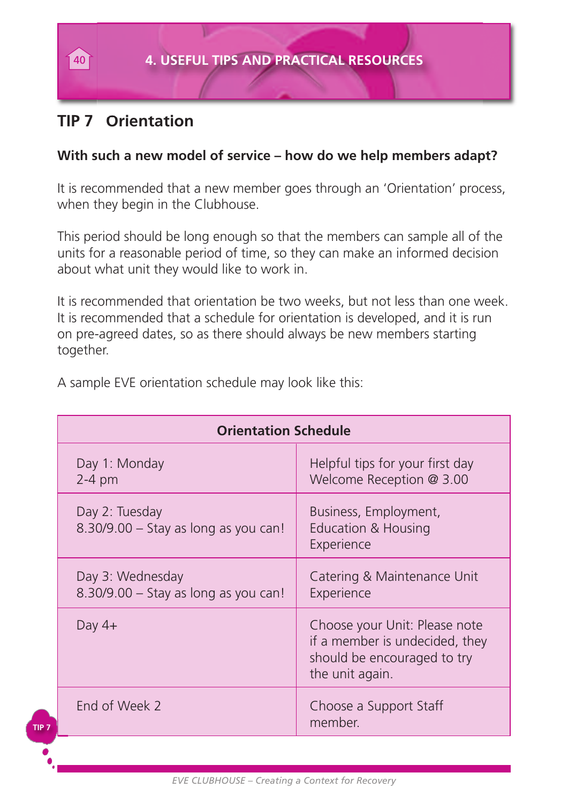### **TIP 7 Orientation**

**TIP 7**

#### **With such a new model of service – how do we help members adapt?**

It is recommended that a new member goes through an 'Orientation' process, when they begin in the Clubhouse.

This period should be long enough so that the members can sample all of the units for a reasonable period of time, so they can make an informed decision about what unit they would like to work in.

It is recommended that orientation be two weeks, but not less than one week. It is recommended that a schedule for orientation is developed, and it is run on pre-agreed dates, so as there should always be new members starting together.

| <b>Orientation Schedule</b>                              |                                                                                                                   |  |  |
|----------------------------------------------------------|-------------------------------------------------------------------------------------------------------------------|--|--|
| Day 1: Monday<br>$2-4$ pm                                | Helpful tips for your first day<br>Welcome Reception @ 3.00                                                       |  |  |
| Day 2: Tuesday<br>8.30/9.00 - Stay as long as you can!   | Business, Employment,<br><b>Education &amp; Housing</b><br>Experience                                             |  |  |
| Day 3: Wednesday<br>8.30/9.00 - Stay as long as you can! | Catering & Maintenance Unit<br>Experience                                                                         |  |  |
| Day $4+$                                                 | Choose your Unit: Please note<br>if a member is undecided, they<br>should be encouraged to try<br>the unit again. |  |  |
| End of Week 2                                            | Choose a Support Staff<br>member.                                                                                 |  |  |

A sample EVE orientation schedule may look like this: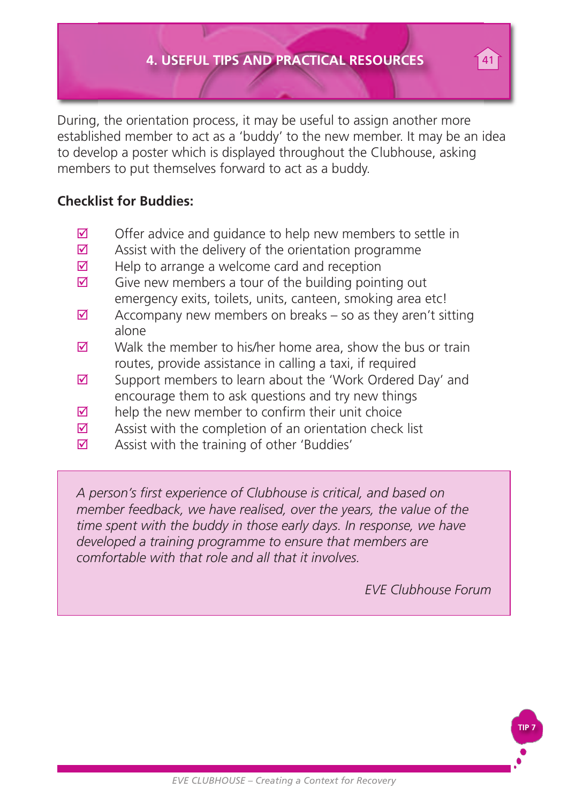During, the orientation process, it may be useful to assign another more established member to act as a 'buddy' to the new member. It may be an idea to develop a poster which is displayed throughout the Clubhouse, asking members to put themselves forward to act as a buddy.

#### **Checklist for Buddies:**

- $\boxtimes$  Offer advice and guidance to help new members to settle in
- $\boxtimes$  Assist with the delivery of the orientation programme
- $\boxtimes$  Help to arrange a welcome card and reception
- $\boxtimes$  Give new members a tour of the building pointing out emergency exits, toilets, units, canteen, smoking area etc!
- $\boxtimes$  Accompany new members on breaks so as they aren't sitting alone
- $\boxtimes$  Walk the member to his/her home area, show the bus or train routes, provide assistance in calling a taxi, if required
- $\boxtimes$  Support members to learn about the 'Work Ordered Day' and encourage them to ask questions and try new things
- $\overline{M}$  help the new member to confirm their unit choice
- $\overline{M}$  Assist with the completion of an orientation check list
- $\boxtimes$  Assist with the training of other 'Buddies'

*A person's first experience of Clubhouse is critical, and based on member feedback, we have realised, over the years, the value of the time spent with the buddy in those early days. In response, we have developed a training programme to ensure that members are comfortable with that role and all that it involves.*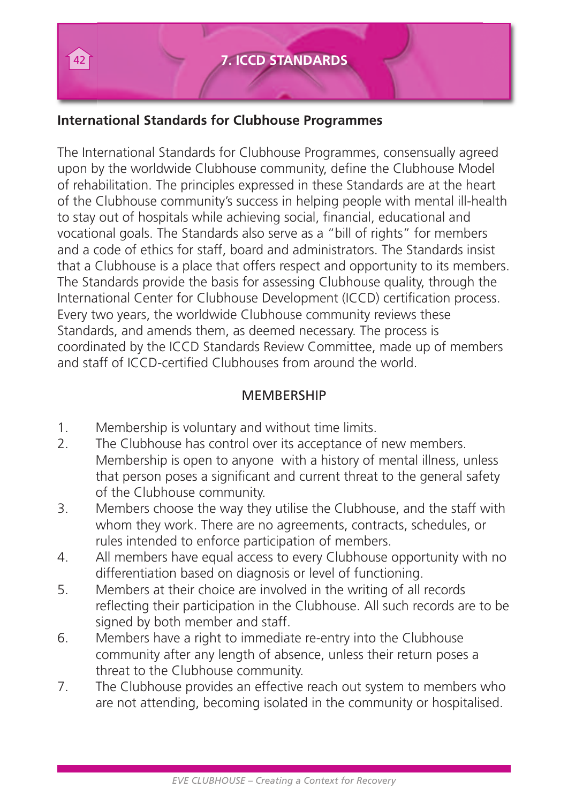#### **International Standards for Clubhouse Programmes**

The International Standards for Clubhouse Programmes, consensually agreed upon by the worldwide Clubhouse community, define the Clubhouse Model of rehabilitation. The principles expressed in these Standards are at the heart of the Clubhouse community's success in helping people with mental ill-health to stay out of hospitals while achieving social, financial, educational and vocational goals. The Standards also serve as a "bill of rights" for members and a code of ethics for staff, board and administrators. The Standards insist that a Clubhouse is a place that offers respect and opportunity to its members. The Standards provide the basis for assessing Clubhouse quality, through the International Center for Clubhouse Development (ICCD) certification process. Every two years, the worldwide Clubhouse community reviews these Standards, and amends them, as deemed necessary. The process is coordinated by the ICCD Standards Review Committee, made up of members and staff of ICCD-certified Clubhouses from around the world.

#### **MEMBERSHIP**

- 1. Membership is voluntary and without time limits.
- 2. The Clubhouse has control over its acceptance of new members. Membership is open to anyone with a history of mental illness, unless that person poses a significant and current threat to the general safety of the Clubhouse community.
- 3. Members choose the way they utilise the Clubhouse, and the staff with whom they work. There are no agreements, contracts, schedules, or rules intended to enforce participation of members.
- 4. All members have equal access to every Clubhouse opportunity with no differentiation based on diagnosis or level of functioning.
- 5. Members at their choice are involved in the writing of all records reflecting their participation in the Clubhouse. All such records are to be signed by both member and staff.
- 6. Members have a right to immediate re-entry into the Clubhouse community after any length of absence, unless their return poses a threat to the Clubhouse community.
- 7. The Clubhouse provides an effective reach out system to members who are not attending, becoming isolated in the community or hospitalised.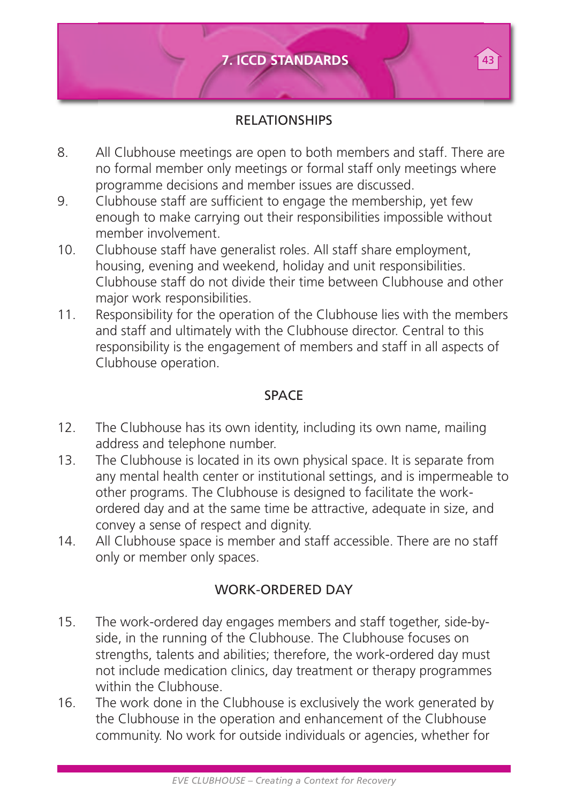

#### RELATIONSHIPS

- 8. All Clubhouse meetings are open to both members and staff. There are no formal member only meetings or formal staff only meetings where programme decisions and member issues are discussed.
- 9. Clubhouse staff are sufficient to engage the membership, yet few enough to make carrying out their responsibilities impossible without member involvement.
- 10. Clubhouse staff have generalist roles. All staff share employment, housing, evening and weekend, holiday and unit responsibilities. Clubhouse staff do not divide their time between Clubhouse and other major work responsibilities.
- 11. Responsibility for the operation of the Clubhouse lies with the members and staff and ultimately with the Clubhouse director. Central to this responsibility is the engagement of members and staff in all aspects of Clubhouse operation.

#### SPACE

- 12. The Clubhouse has its own identity, including its own name, mailing address and telephone number.
- 13. The Clubhouse is located in its own physical space. It is separate from any mental health center or institutional settings, and is impermeable to other programs. The Clubhouse is designed to facilitate the workordered day and at the same time be attractive, adequate in size, and convey a sense of respect and dignity.
- 14. All Clubhouse space is member and staff accessible. There are no staff only or member only spaces.

#### WORK-ORDERED DAY

- 15. The work-ordered day engages members and staff together, side-byside, in the running of the Clubhouse. The Clubhouse focuses on strengths, talents and abilities; therefore, the work-ordered day must not include medication clinics, day treatment or therapy programmes within the Clubhouse.
- 16. The work done in the Clubhouse is exclusively the work generated by the Clubhouse in the operation and enhancement of the Clubhouse community. No work for outside individuals or agencies, whether for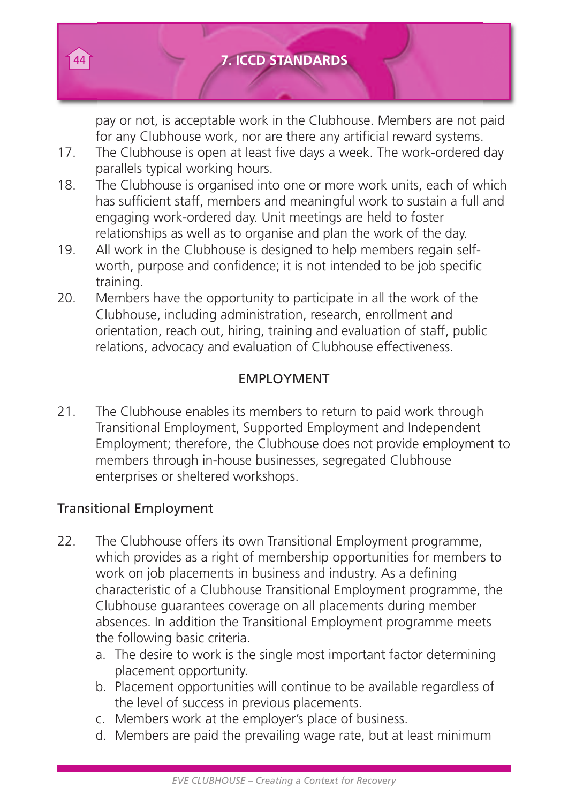

#### 44 **7. ICCD STANDARDS**

pay or not, is acceptable work in the Clubhouse. Members are not paid for any Clubhouse work, nor are there any artificial reward systems.

- 17. The Clubhouse is open at least five days a week. The work-ordered day parallels typical working hours.
- 18. The Clubhouse is organised into one or more work units, each of which has sufficient staff, members and meaningful work to sustain a full and engaging work-ordered day. Unit meetings are held to foster relationships as well as to organise and plan the work of the day.
- 19. All work in the Clubhouse is designed to help members regain selfworth, purpose and confidence; it is not intended to be job specific training.
- 20. Members have the opportunity to participate in all the work of the Clubhouse, including administration, research, enrollment and orientation, reach out, hiring, training and evaluation of staff, public relations, advocacy and evaluation of Clubhouse effectiveness.

#### EMPLOYMENT

21. The Clubhouse enables its members to return to paid work through Transitional Employment, Supported Employment and Independent Employment; therefore, the Clubhouse does not provide employment to members through in-house businesses, segregated Clubhouse enterprises or sheltered workshops.

#### Transitional Employment

- 22. The Clubhouse offers its own Transitional Employment programme, which provides as a right of membership opportunities for members to work on job placements in business and industry. As a defining characteristic of a Clubhouse Transitional Employment programme, the Clubhouse guarantees coverage on all placements during member absences. In addition the Transitional Employment programme meets the following basic criteria.
	- a. The desire to work is the single most important factor determining placement opportunity.
	- b. Placement opportunities will continue to be available regardless of the level of success in previous placements.
	- c. Members work at the employer's place of business.
	- d. Members are paid the prevailing wage rate, but at least minimum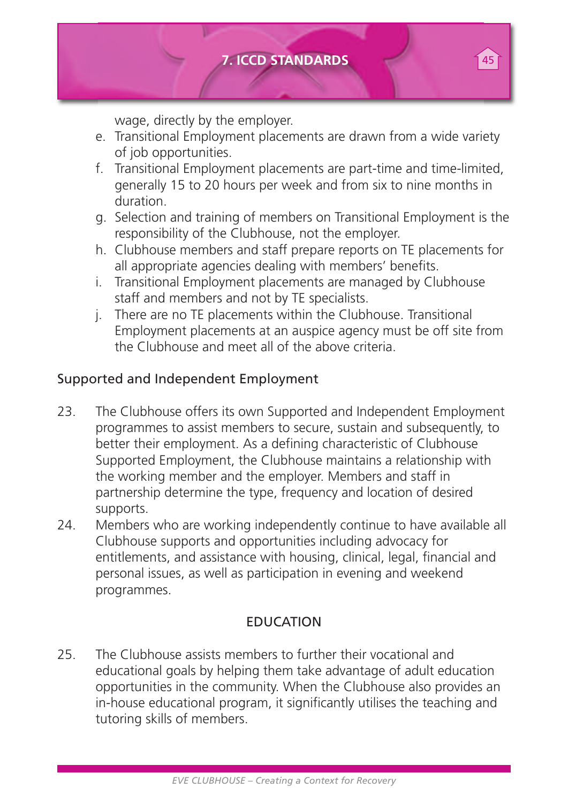

wage, directly by the employer.

- e. Transitional Employment placements are drawn from a wide variety of job opportunities.
- f. Transitional Employment placements are part-time and time-limited, generally 15 to 20 hours per week and from six to nine months in duration.
- g. Selection and training of members on Transitional Employment is the responsibility of the Clubhouse, not the employer.
- h. Clubhouse members and staff prepare reports on TE placements for all appropriate agencies dealing with members' benefits.
- i. Transitional Employment placements are managed by Clubhouse staff and members and not by TE specialists.
- j. There are no TE placements within the Clubhouse. Transitional Employment placements at an auspice agency must be off site from the Clubhouse and meet all of the above criteria.

#### Supported and Independent Employment

- 23. The Clubhouse offers its own Supported and Independent Employment programmes to assist members to secure, sustain and subsequently, to better their employment. As a defining characteristic of Clubhouse Supported Employment, the Clubhouse maintains a relationship with the working member and the employer. Members and staff in partnership determine the type, frequency and location of desired supports.
- 24. Members who are working independently continue to have available all Clubhouse supports and opportunities including advocacy for entitlements, and assistance with housing, clinical, legal, financial and personal issues, as well as participation in evening and weekend programmes.

#### EDUCATION

25. The Clubhouse assists members to further their vocational and educational goals by helping them take advantage of adult education opportunities in the community. When the Clubhouse also provides an in-house educational program, it significantly utilises the teaching and tutoring skills of members.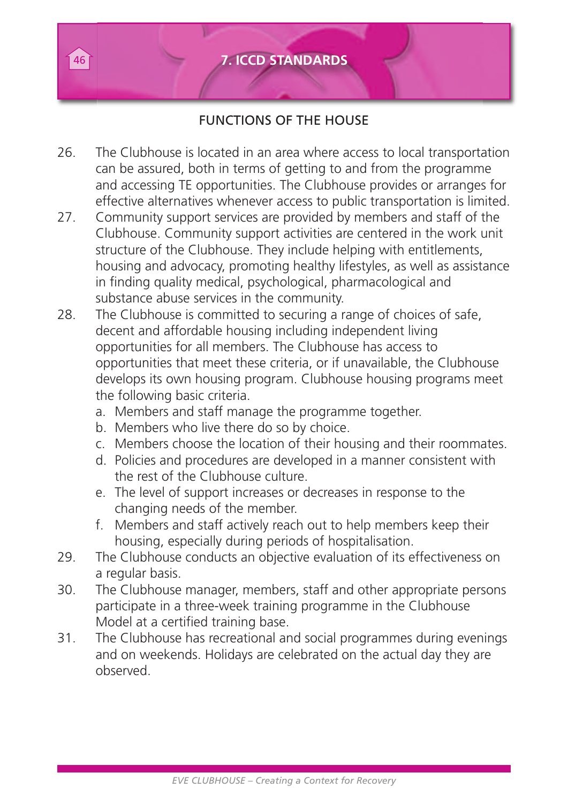

#### FUNCTIONS OF THE HOUSE

- 26. The Clubhouse is located in an area where access to local transportation can be assured, both in terms of getting to and from the programme and accessing TE opportunities. The Clubhouse provides or arranges for effective alternatives whenever access to public transportation is limited.
- 27. Community support services are provided by members and staff of the Clubhouse. Community support activities are centered in the work unit structure of the Clubhouse. They include helping with entitlements, housing and advocacy, promoting healthy lifestyles, as well as assistance in finding quality medical, psychological, pharmacological and substance abuse services in the community.
- 28. The Clubhouse is committed to securing a range of choices of safe. decent and affordable housing including independent living opportunities for all members. The Clubhouse has access to opportunities that meet these criteria, or if unavailable, the Clubhouse develops its own housing program. Clubhouse housing programs meet the following basic criteria.
	- a. Members and staff manage the programme together.
	- b. Members who live there do so by choice.
	- c. Members choose the location of their housing and their roommates.
	- d. Policies and procedures are developed in a manner consistent with the rest of the Clubhouse culture.
	- e. The level of support increases or decreases in response to the changing needs of the member.
	- f. Members and staff actively reach out to help members keep their housing, especially during periods of hospitalisation.
- 29. The Clubhouse conducts an objective evaluation of its effectiveness on a regular basis.
- 30. The Clubhouse manager, members, staff and other appropriate persons participate in a three-week training programme in the Clubhouse Model at a certified training base.
- 31. The Clubhouse has recreational and social programmes during evenings and on weekends. Holidays are celebrated on the actual day they are observed.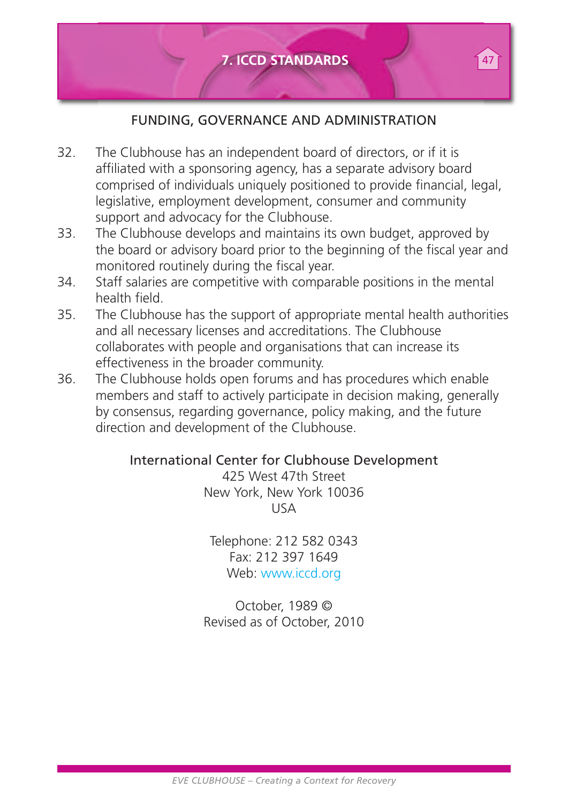

#### FUNDING, GOVERNANCE AND ADMINISTRATION

- 32. The Clubhouse has an independent board of directors, or if it is affiliated with a sponsoring agency, has a separate advisory board comprised of individuals uniquely positioned to provide financial, legal, legislative, employment development, consumer and community support and advocacy for the Clubhouse.
- 33. The Clubhouse develops and maintains its own budget, approved by the board or advisory board prior to the beginning of the fiscal year and monitored routinely during the fiscal year.
- 34. Staff salaries are competitive with comparable positions in the mental health field.
- 35. The Clubhouse has the support of appropriate mental health authorities and all necessary licenses and accreditations. The Clubhouse collaborates with people and organisations that can increase its effectiveness in the broader community.
- 36. The Clubhouse holds open forums and has procedures which enable members and staff to actively participate in decision making, generally by consensus, regarding governance, policy making, and the future direction and development of the Clubhouse.

#### International Center for Clubhouse Development

425 West 47th Street New York, New York 10036 USA

Telephone: 212 582 0343 Fax: 212 397 1649 Web: www.iccd.org

October, 1989 © Revised as of October, 2010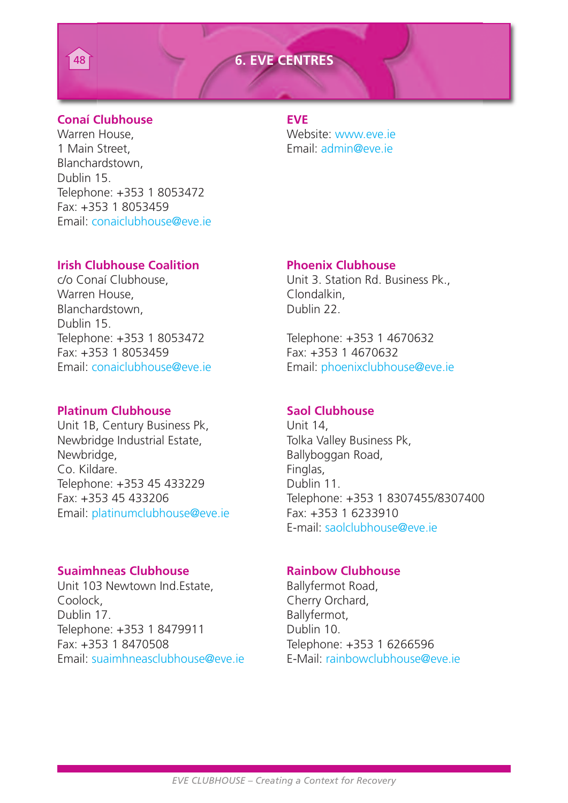#### 48 **6. EVE CENTRES**



Warren House, Website: www.eve.ie 1 Main Street, Email: admin@eve.ie Blanchardstown, Dublin 15. Telephone: +353 1 8053472 Fax: +353 1 8053459 Email: conaiclubhouse@eve.ie

#### **Irish Clubhouse Coalition Phoenix Clubhouse**

Warren House, Clondalkin, Clondalkin, Clondalkin, Clondalkin, Clondalkin, Clondalkin, Clondalkin, Clondalkin, Clondalkin, Clondalkin, Clondalkin, Clondalkin, Clondalkin, Clondalkin, Clondalkin, Clondalkin, Clondalkin, Clon Blanchardstown, **Dublin 22.** Dublin 15. Telephone: +353 1 8053472 Telephone: +353 1 4670632 Fax: +353 1 8053459<br>
Fax: +353 1 4670632<br>
Fmail: conaiclubbouse@eve ie Fmail: phoenixclubbouse

#### **Platinum Clubhouse Saol Clubhouse**

Unit 1B, Century Business Pk, <br>Newbridge Industrial Estate. Tolka Valley Business Pk. Newbridge Industrial Estate,<br>Newbridge. Co. Kildare. **Finglas**, Englas, Telephone: +353 45 433229 Dublin 11.<br>
Fax: +353 45 433206 Telephone: Email: platinumclubhouse@eve.ie Fax: +353 1 6233910

#### **Suaimhneas Clubhouse Rainbow Clubhouse**

Unit 103 Newtown Ind Estate Ballyfermot Road Coolock, Coolock, Cherry Orchard, Dublin 17. Ballyfermot, Telephone: +353 1 8479911 Dublin 10. Fax: +353 1 8470508 Telephone: +353 1 6266596 Email: suaimhneasclubhouse@eve.ie E-Mail: rainbowclubhouse@eve.ie

c/o Conaí Clubhouse, Unit 3. Station Rd. Business Pk.,

Email: phoenixclubhouse@eve.ie

Ballyboggan Road, Telephone: +353 1 8307455/8307400 E-mail: saolclubhouse@eve.ie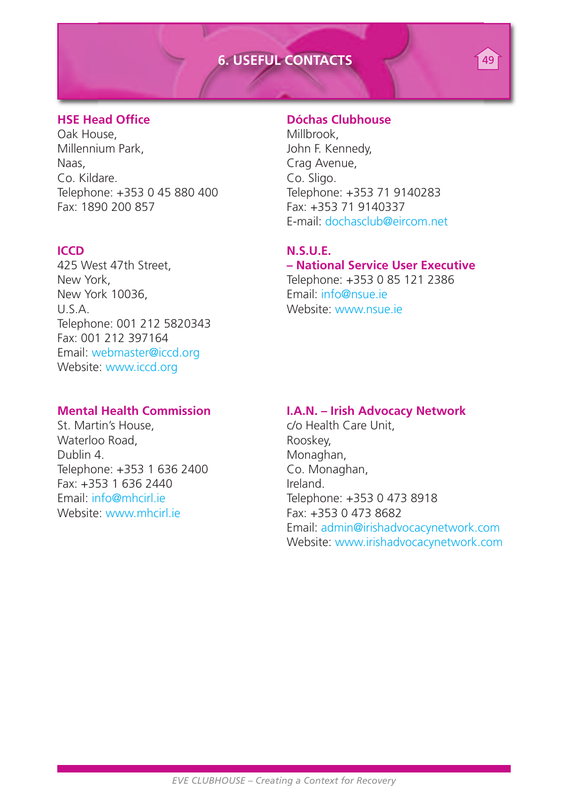#### **6. USEFUL CONTACTS**

Oak House, Nillbrook, Nillbrook, Nillennium Park, Nillbrook, Nillbrook, Nillbrook, Nillbrook, Nillbrook, Nillbrook, Nillbrook, Nillbrook, Nillbrook, Nillbrook, Nillbrook, Nillbrook, Nillbrook, Nillbrook, Nillbrook, Nillbro Millennium Park, Naas, Crag Avenue, Crag Avenue, Contractor Crag Avenue, Contractor Crag Avenue, Contractor Contractor Contractor Contractor Contractor Contractor Contractor Contractor Contractor Contractor Contractor Contractor Contractor Telephone: +353 0 45 880 400 Fax: 1890 200 857 Fax: +353 71 9140337

**ICCD N.S.U.E.** U.S.A. Website: www.nsue.ie Telephone: 001 212 5820343 Fax: 001 212 397164 Email: webmaster@iccd.org Website: www.iccd.org

St. Martin's House, and the community of Health Care Unit, Waterloo Road, entries and a Rooskey, Rooskey, Rooskey, Rooskey, Rooskey, Rooskey, Rooskey, Rooskey, Rooskey, Rooskey, Rooskey, Rooskey, Rooskey, Rooskey, Rooskey, Rooskey, Rooskey, Rooskey, Rooskey, Rooskey, Rooskey, Roos Telephone: +353 1 636 2400 Co. Monaghan, Fax: +353 1 636 2440 Ireland.<br>
Fmail: info@mhcirl ie is in Telepho Website: www.mhcirl.ie Fax: +353 0 473 8682

#### **HSE Head Office Dóchas Clubhouse**

Co. Sligo.<br>Telephone: +353 71 9140283 E-mail: dochasclub@eircom.net 49

#### 425 West 47th Street, **– National Service User Executive**

New York,  $\frac{1}{2}$  New York,  $\frac{1}{2}$  New York 10036 Email: info@nsue.ie

#### **Mental Health Commission I.A.N. – Irish Advocacy Network**

Monaghan, Telephone: +353 0 473 8918 Email: admin@irishadvocacynetwork.com Website: www.irishadvocacynetwork.com